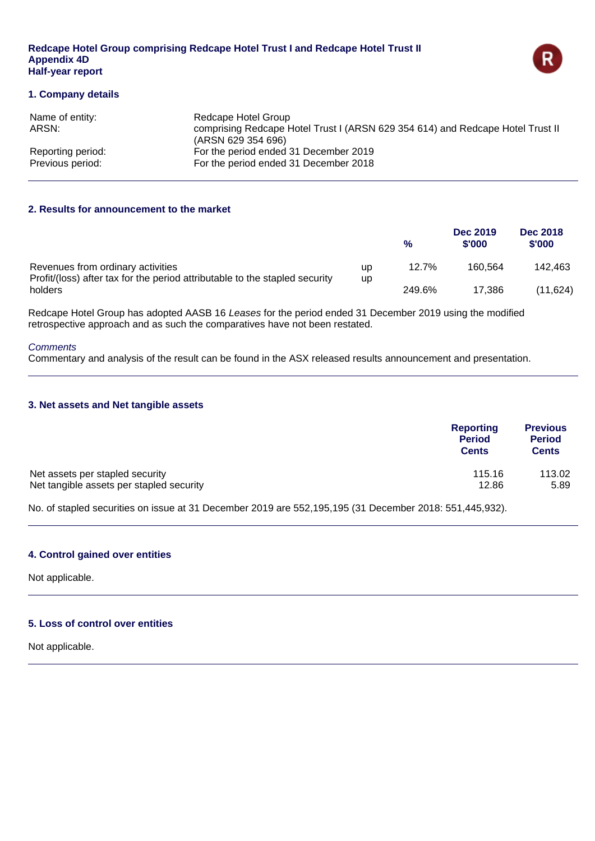#### **Redcape Hotel Group comprising Redcape Hotel Trust I and Redcape Hotel Trust II Appendix 4D Half-year report**



### **1. Company details**

| Name of entity:<br>ARSN: | Redcape Hotel Group<br>comprising Redcape Hotel Trust I (ARSN 629 354 614) and Redcape Hotel Trust II<br>(ARSN 629 354 696) |
|--------------------------|-----------------------------------------------------------------------------------------------------------------------------|
| Reporting period:        | For the period ended 31 December 2019                                                                                       |
| Previous period:         | For the period ended 31 December 2018                                                                                       |

### **2. Results for announcement to the market**

|                                                                                                                  |    | %      | Dec 2019<br>\$'000 | <b>Dec 2018</b><br>\$'000 |
|------------------------------------------------------------------------------------------------------------------|----|--------|--------------------|---------------------------|
| Revenues from ordinary activities<br>Profit/(loss) after tax for the period attributable to the stapled security | up | 12.7%  | 160.564            | 142.463                   |
| holders                                                                                                          | up | 249.6% | 17.386             | (11.624)                  |

Redcape Hotel Group has adopted AASB 16 *Leases* for the period ended 31 December 2019 using the modified retrospective approach and as such the comparatives have not been restated.

### *Comments*

Commentary and analysis of the result can be found in the ASX released results announcement and presentation.

### **3. Net assets and Net tangible assets**

| Reporting<br><b>Period</b><br><b>Cents</b> | <b>Previous</b><br><b>Period</b><br><b>Cents</b> |
|--------------------------------------------|--------------------------------------------------|
| 115.16                                     | 113.02                                           |
| 12.86                                      | 5.89                                             |
|                                            |                                                  |

No. of stapled securities on issue at 31 December 2019 are 552,195,195 (31 December 2018: 551,445,932).

### **4. Control gained over entities**

Not applicable.

### **5. Loss of control over entities**

Not applicable.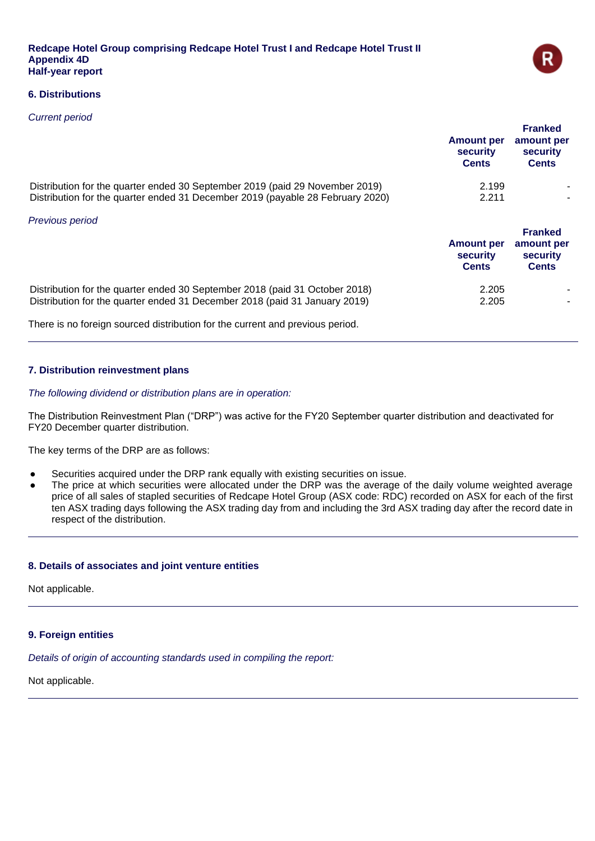

### **6. Distributions**

### *Current period*

|                                                                                                                                                                | <b>Amount per</b><br>security<br><b>Cents</b> | <b>Franked</b><br>amount per<br>security<br><b>Cents</b> |
|----------------------------------------------------------------------------------------------------------------------------------------------------------------|-----------------------------------------------|----------------------------------------------------------|
| Distribution for the quarter ended 30 September 2019 (paid 29 November 2019)<br>Distribution for the quarter ended 31 December 2019 (payable 28 February 2020) | 2.199<br>2.211                                |                                                          |
| Previous period                                                                                                                                                | <b>Amount per</b><br>security<br><b>Cents</b> | <b>Franked</b><br>amount per<br>security<br><b>Cents</b> |
| Distribution for the quarter ended 30 September 2018 (paid 31 October 2018)<br>Distribution for the quarter ended 31 December 2018 (paid 31 January 2019)      | 2.205<br>2.205                                |                                                          |

There is no foreign sourced distribution for the current and previous period.

### **7. Distribution reinvestment plans**

### *The following dividend or distribution plans are in operation:*

The Distribution Reinvestment Plan ("DRP") was active for the FY20 September quarter distribution and deactivated for FY20 December quarter distribution.

The key terms of the DRP are as follows:

- Securities acquired under the DRP rank equally with existing securities on issue.
- The price at which securities were allocated under the DRP was the average of the daily volume weighted average price of all sales of stapled securities of Redcape Hotel Group (ASX code: RDC) recorded on ASX for each of the first ten ASX trading days following the ASX trading day from and including the 3rd ASX trading day after the record date in respect of the distribution.

### **8. Details of associates and joint venture entities**

Not applicable.

### **9. Foreign entities**

*Details of origin of accounting standards used in compiling the report:*

Not applicable.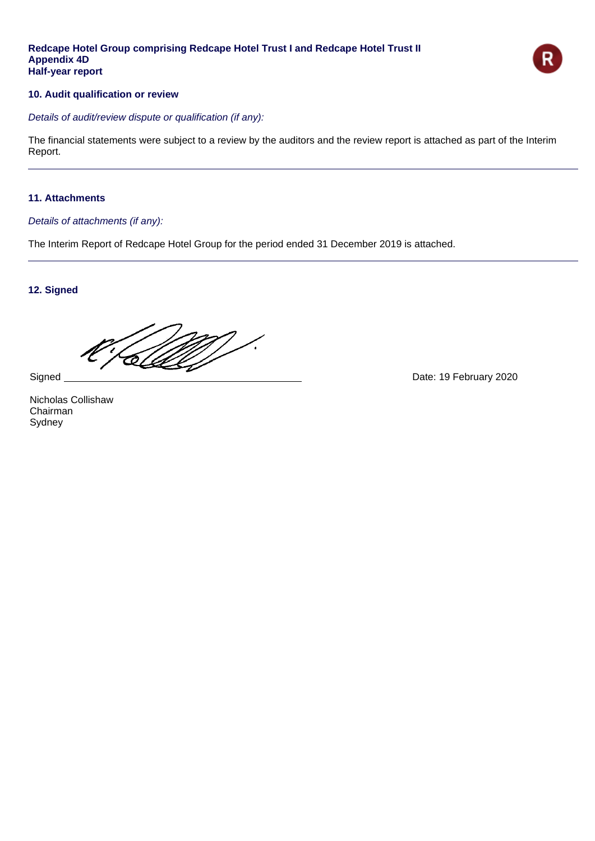### **Redcape Hotel Group comprising Redcape Hotel Trust I and Redcape Hotel Trust II Appendix 4D Half-year report**



### **10. Audit qualification or review**

*Details of audit/review dispute or qualification (if any):*

The financial statements were subject to a review by the auditors and the review report is attached as part of the Interim Report.

### **11. Attachments**

### *Details of attachments (if any):*

The Interim Report of Redcape Hotel Group for the period ended 31 December 2019 is attached.

### **12. Signed**

T

Nicholas Collishaw Chairman Sydney

Signed **Date: 19 February 2020**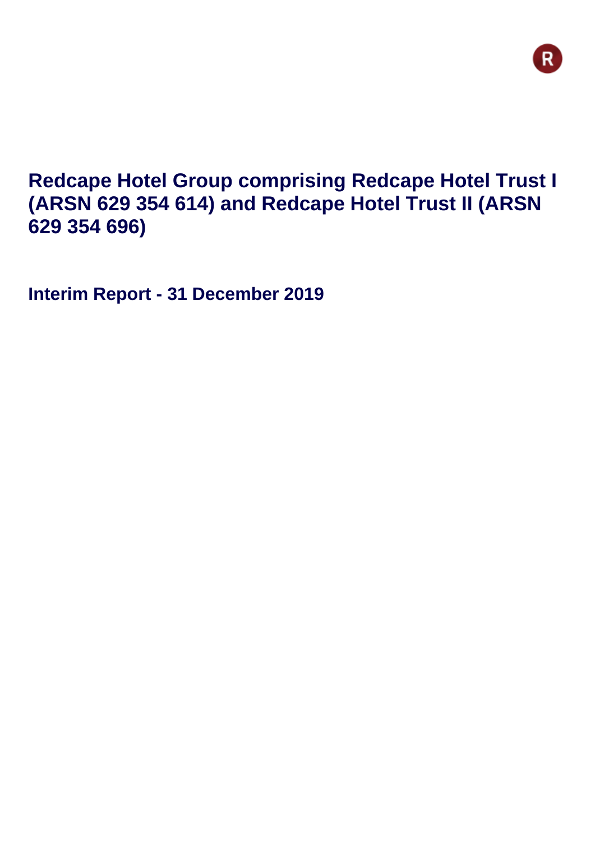## **Redcape Hotel Group comprising Redcape Hotel Trust I (ARSN 629 354 614) and Redcape Hotel Trust II (ARSN 629 354 696)**

**Interim Report - 31 December 2019**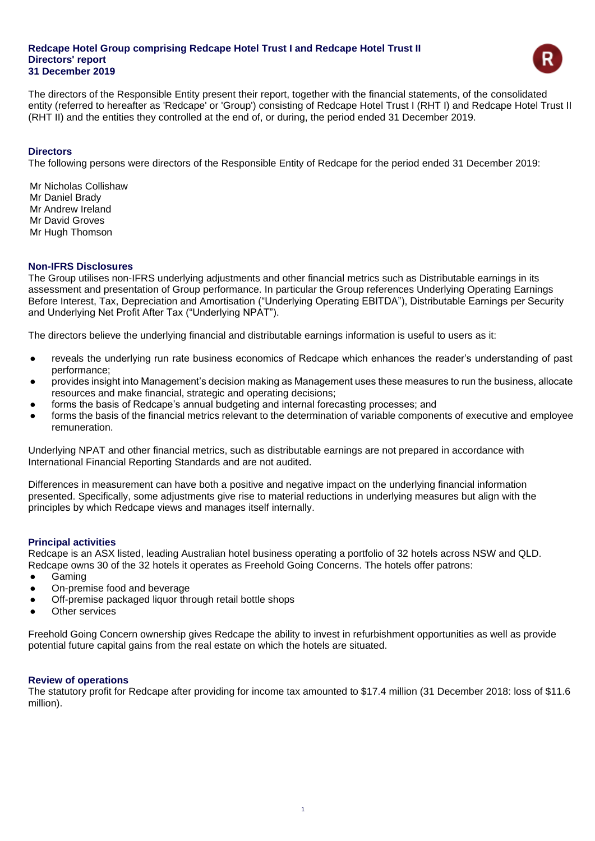

The directors of the Responsible Entity present their report, together with the financial statements, of the consolidated entity (referred to hereafter as 'Redcape' or 'Group') consisting of Redcape Hotel Trust I (RHT I) and Redcape Hotel Trust II (RHT II) and the entities they controlled at the end of, or during, the period ended 31 December 2019.

### **Directors**

The following persons were directors of the Responsible Entity of Redcape for the period ended 31 December 2019:

Mr Nicholas Collishaw Mr Daniel Brady Mr Andrew Ireland Mr David Groves Mr Hugh Thomson

### **Non-IFRS Disclosures**

The Group utilises non-IFRS underlying adjustments and other financial metrics such as Distributable earnings in its assessment and presentation of Group performance. In particular the Group references Underlying Operating Earnings Before Interest, Tax, Depreciation and Amortisation ("Underlying Operating EBITDA"), Distributable Earnings per Security and Underlying Net Profit After Tax ("Underlying NPAT").

The directors believe the underlying financial and distributable earnings information is useful to users as it:

- reveals the underlying run rate business economics of Redcape which enhances the reader's understanding of past performance;
- provides insight into Management's decision making as Management uses these measures to run the business, allocate resources and make financial, strategic and operating decisions;
- forms the basis of Redcape's annual budgeting and internal forecasting processes; and
- forms the basis of the financial metrics relevant to the determination of variable components of executive and employee remuneration.

Underlying NPAT and other financial metrics, such as distributable earnings are not prepared in accordance with International Financial Reporting Standards and are not audited.

Differences in measurement can have both a positive and negative impact on the underlying financial information presented. Specifically, some adjustments give rise to material reductions in underlying measures but align with the principles by which Redcape views and manages itself internally.

### **Principal activities**

Redcape is an ASX listed, leading Australian hotel business operating a portfolio of 32 hotels across NSW and QLD. Redcape owns 30 of the 32 hotels it operates as Freehold Going Concerns. The hotels offer patrons:

- Gaming
- On-premise food and beverage
- Off-premise packaged liquor through retail bottle shops
- Other services

Freehold Going Concern ownership gives Redcape the ability to invest in refurbishment opportunities as well as provide potential future capital gains from the real estate on which the hotels are situated.

#### **Review of operations**

The statutory profit for Redcape after providing for income tax amounted to \$17.4 million (31 December 2018: loss of \$11.6 million).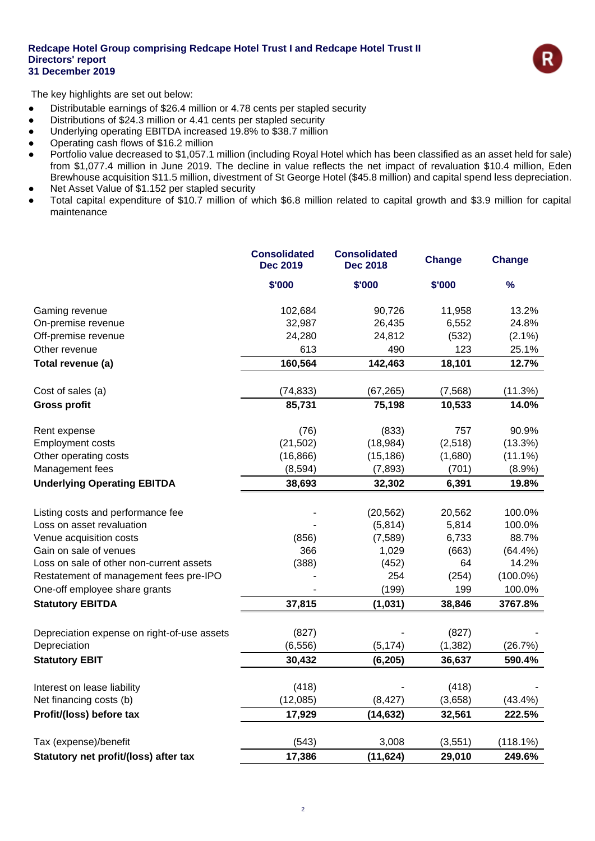

The key highlights are set out below:

- Distributable earnings of \$26.4 million or 4.78 cents per stapled security
- Distributions of \$24.3 million or 4.41 cents per stapled security
- Underlying operating EBITDA increased 19.8% to \$38.7 million
- Operating cash flows of \$16.2 million
- Portfolio value decreased to \$1,057.1 million (including Royal Hotel which has been classified as an asset held for sale) from \$1,077.4 million in June 2019. The decline in value reflects the net impact of revaluation \$10.4 million, Eden Brewhouse acquisition \$11.5 million, divestment of St George Hotel (\$45.8 million) and capital spend less depreciation.
- Net Asset Value of \$1.152 per stapled security
- Total capital expenditure of \$10.7 million of which \$6.8 million related to capital growth and \$3.9 million for capital maintenance

|                                                                | <b>Consolidated</b><br><b>Dec 2019</b> | <b>Consolidated</b><br><b>Dec 2018</b> | <b>Change</b>   | <b>Change</b> |
|----------------------------------------------------------------|----------------------------------------|----------------------------------------|-----------------|---------------|
|                                                                | \$'000                                 | \$'000                                 | \$'000          | $\frac{9}{6}$ |
| Gaming revenue                                                 | 102,684                                | 90,726                                 | 11,958          | 13.2%         |
| On-premise revenue                                             | 32,987                                 | 26,435                                 | 6,552           | 24.8%         |
| Off-premise revenue                                            | 24,280                                 | 24,812                                 | (532)           | $(2.1\%)$     |
| Other revenue                                                  | 613                                    | 490                                    | 123             | 25.1%         |
| Total revenue (a)                                              | 160,564                                | 142,463                                | 18,101          | 12.7%         |
| Cost of sales (a)                                              | (74, 833)                              | (67, 265)                              | (7, 568)        | (11.3%)       |
| <b>Gross profit</b>                                            | 85,731                                 | 75,198                                 | 10,533          | 14.0%         |
| Rent expense                                                   | (76)                                   | (833)                                  | 757             | 90.9%         |
| <b>Employment costs</b>                                        | (21, 502)                              | (18, 984)                              | (2, 518)        | (13.3%)       |
| Other operating costs                                          | (16, 866)                              | (15, 186)                              | (1,680)         | $(11.1\%)$    |
| Management fees                                                | (8, 594)                               | (7, 893)                               | (701)           | $(8.9\%)$     |
| <b>Underlying Operating EBITDA</b>                             | 38,693                                 | 32,302                                 | 6,391           | 19.8%         |
|                                                                |                                        |                                        |                 | 100.0%        |
| Listing costs and performance fee<br>Loss on asset revaluation |                                        | (20, 562)<br>(5,814)                   | 20,562<br>5,814 | 100.0%        |
| Venue acquisition costs                                        | (856)                                  | (7,589)                                | 6,733           | 88.7%         |
| Gain on sale of venues                                         | 366                                    | 1,029                                  | (663)           | (64.4%)       |
| Loss on sale of other non-current assets                       | (388)                                  | (452)                                  | 64              | 14.2%         |
| Restatement of management fees pre-IPO                         |                                        | 254                                    | (254)           | $(100.0\%)$   |
| One-off employee share grants                                  |                                        | (199)                                  | 199             | 100.0%        |
| <b>Statutory EBITDA</b>                                        | 37,815                                 | (1,031)                                | 38,846          | 3767.8%       |
|                                                                | (827)                                  |                                        | (827)           |               |
| Depreciation expense on right-of-use assets<br>Depreciation    | (6, 556)                               | (5, 174)                               | (1, 382)        | (26.7%)       |
| <b>Statutory EBIT</b>                                          | 30,432                                 |                                        | 36,637          | 590.4%        |
|                                                                |                                        | (6, 205)                               |                 |               |
| Interest on lease liability                                    | (418)                                  |                                        | (418)           |               |
| Net financing costs (b)                                        | (12,085)                               | (8, 427)                               | (3,658)         | (43.4%)       |
| Profit/(loss) before tax                                       | 17,929                                 | (14, 632)                              | 32,561          | 222.5%        |
| Tax (expense)/benefit                                          | (543)                                  | 3,008                                  | (3, 551)        | (118.1%)      |
| Statutory net profit/(loss) after tax                          | 17,386                                 | (11, 624)                              | 29,010          | 249.6%        |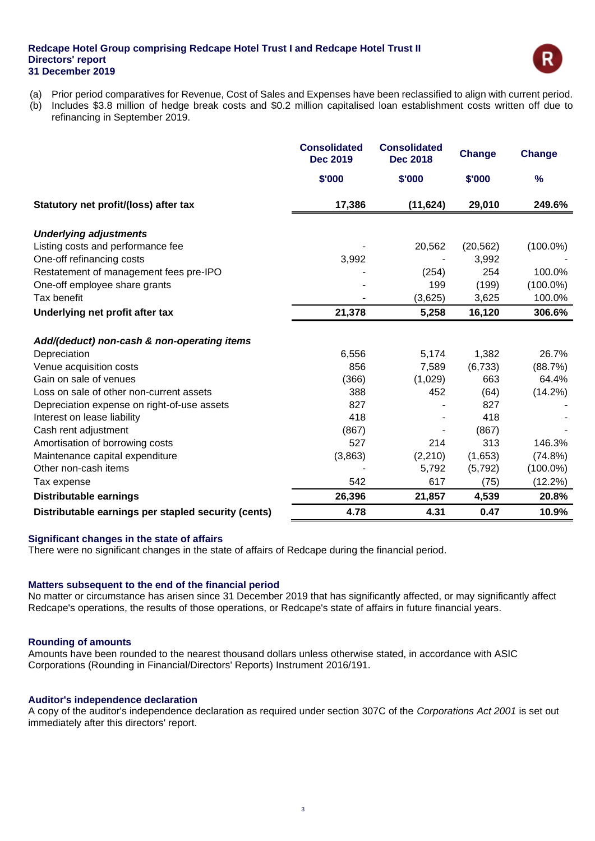

- (a) Prior period comparatives for Revenue, Cost of Sales and Expenses have been reclassified to align with current period.
- (b) Includes \$3.8 million of hedge break costs and \$0.2 million capitalised loan establishment costs written off due to refinancing in September 2019.

|                                                             | <b>Consolidated</b><br><b>Dec 2019</b> | <b>Consolidated</b><br><b>Dec 2018</b> | <b>Change</b> | <b>Change</b> |
|-------------------------------------------------------------|----------------------------------------|----------------------------------------|---------------|---------------|
|                                                             | \$'000                                 | \$'000                                 | \$'000        | %             |
| Statutory net profit/(loss) after tax                       | 17,386                                 | (11, 624)                              | 29,010        | 249.6%        |
| <b>Underlying adjustments</b>                               |                                        |                                        |               |               |
| Listing costs and performance fee                           |                                        | 20,562                                 | (20, 562)     | $(100.0\%)$   |
| One-off refinancing costs                                   | 3,992                                  |                                        | 3,992         |               |
| Restatement of management fees pre-IPO                      |                                        | (254)                                  | 254           | 100.0%        |
| One-off employee share grants                               |                                        | 199                                    | (199)         | $(100.0\%)$   |
| Tax benefit                                                 |                                        | (3,625)                                | 3,625         | 100.0%        |
| Underlying net profit after tax                             | 21,378                                 | 5,258                                  | 16,120        | 306.6%        |
|                                                             |                                        |                                        |               |               |
| Add/(deduct) non-cash & non-operating items<br>Depreciation | 6,556                                  | 5,174                                  | 1,382         | 26.7%         |
| Venue acquisition costs                                     | 856                                    | 7,589                                  | (6, 733)      | (88.7%)       |
| Gain on sale of venues                                      | (366)                                  | (1,029)                                | 663           | 64.4%         |
| Loss on sale of other non-current assets                    | 388                                    | 452                                    | (64)          | $(14.2\%)$    |
| Depreciation expense on right-of-use assets                 | 827                                    |                                        | 827           |               |
| Interest on lease liability                                 | 418                                    |                                        | 418           |               |
| Cash rent adjustment                                        | (867)                                  |                                        | (867)         |               |
| Amortisation of borrowing costs                             | 527                                    | 214                                    | 313           | 146.3%        |
| Maintenance capital expenditure                             | (3,863)                                | (2,210)                                | (1,653)       | (74.8%)       |
| Other non-cash items                                        |                                        | 5,792                                  | (5, 792)      | $(100.0\%)$   |
| Tax expense                                                 | 542                                    | 617                                    | (75)          | (12.2%)       |
| <b>Distributable earnings</b>                               | 26,396                                 | 21,857                                 | 4,539         | 20.8%         |
| Distributable earnings per stapled security (cents)         | 4.78                                   | 4.31                                   | 0.47          | 10.9%         |

### **Significant changes in the state of affairs**

There were no significant changes in the state of affairs of Redcape during the financial period.

### **Matters subsequent to the end of the financial period**

No matter or circumstance has arisen since 31 December 2019 that has significantly affected, or may significantly affect Redcape's operations, the results of those operations, or Redcape's state of affairs in future financial years.

### **Rounding of amounts**

Amounts have been rounded to the nearest thousand dollars unless otherwise stated, in accordance with ASIC Corporations (Rounding in Financial/Directors' Reports) Instrument 2016/191.

#### **Auditor's independence declaration**

A copy of the auditor's independence declaration as required under section 307C of the *Corporations Act 2001* is set out immediately after this directors' report.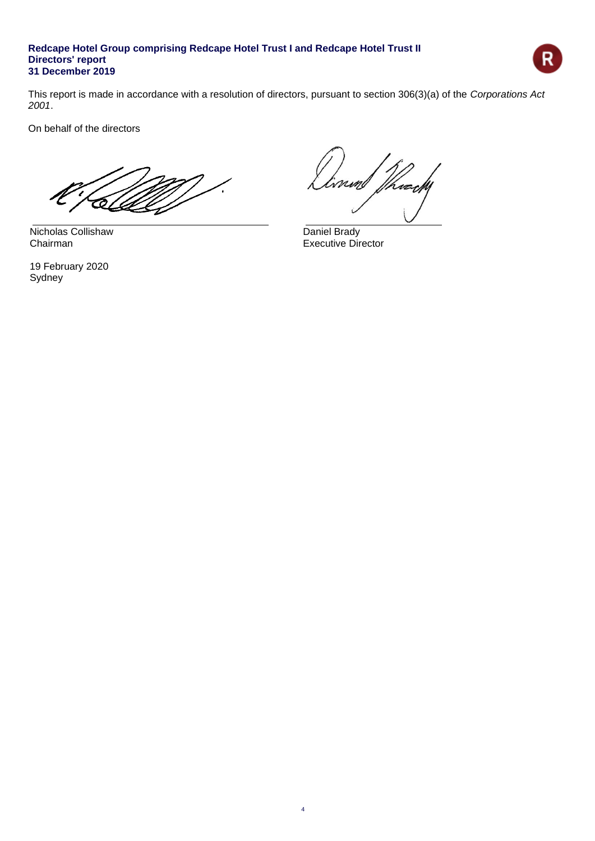

This report is made in accordance with a resolution of directors, pursuant to section 306(3)(a) of the *Corporations Act 2001*.

On behalf of the directors

Nicholas Collishaw Daniel Brady<br>Chairman Executive Director

19 February 2020 Sydney

Thurchy niml

Executive Director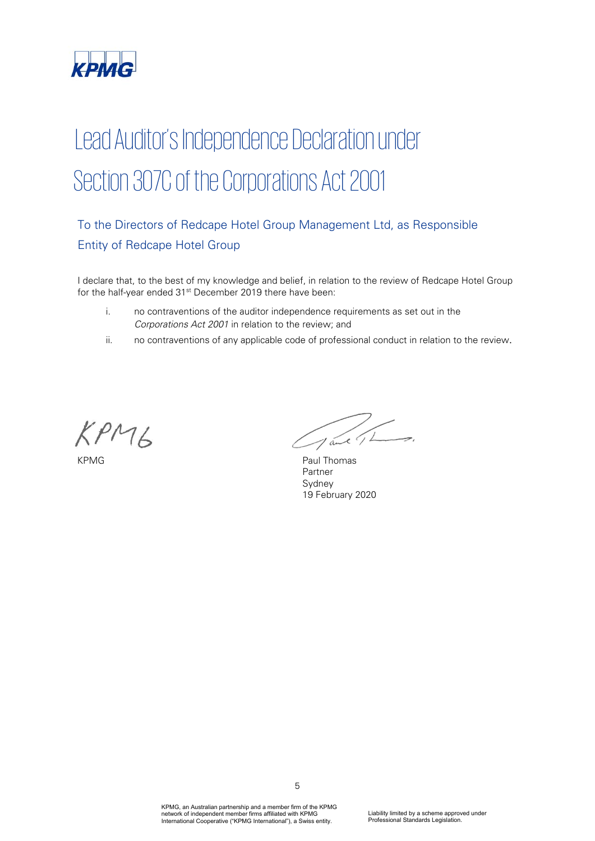

# Lead Auditor's Independence Declaration under Section 307C of the Corporations Act 2001

## To the Directors of Redcape Hotel Group Management Ltd, as Responsible Entity of Redcape Hotel Group

I declare that, to the best of my knowledge and belief, in relation to the review of Redcape Hotel Group for the half-year ended 31<sup>st</sup> December 2019 there have been:

- i. no contraventions of the auditor independence requirements as set out in the *Corporations Act 2001* in relation to the review; and
- ii. no contraventions of any applicable code of professional conduct in relation to the review.

 $KPM6$ 

Jane 1 Long

KPMG Paul Thomas Partner Sydney 19 February 2020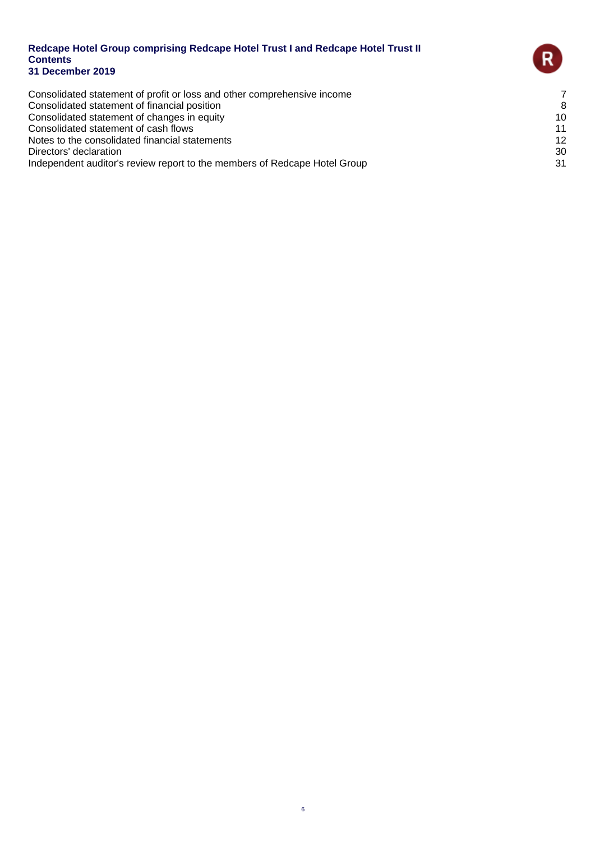Consolidated statement of profit or loss and other comprehensive income<br>Consolidated statement of financial position 8 Consolidated statement of financial position<br>
Consolidated statement of changes in equity
8<br>
20 Consolidated statement of changes in equity 10 Consolidated statement of cash flows 11 Notes to the consolidated financial statements 12<br>Directors' declaration 30 Directors' declaration

Independent auditor's review report to the members of Redcape Hotel Group 31

 $\mathsf{R}$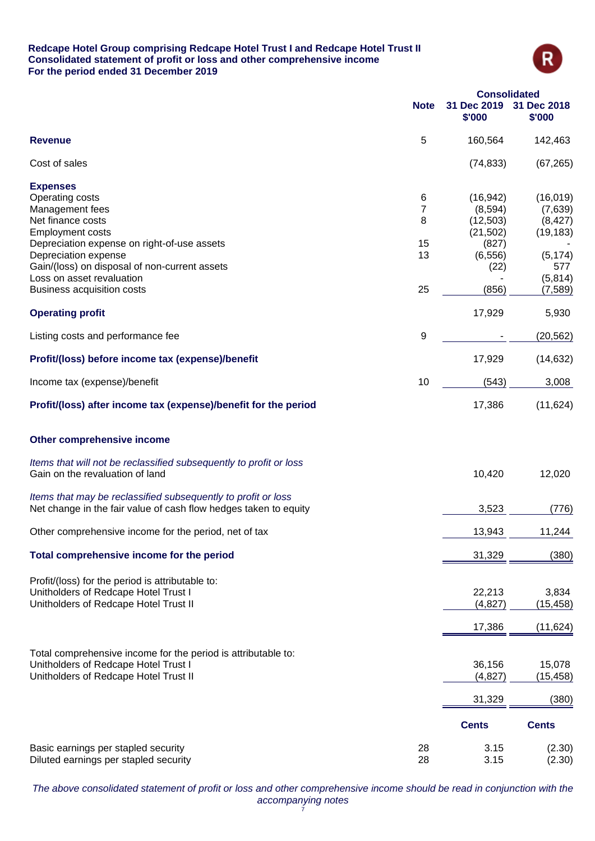### **Redcape Hotel Group comprising Redcape Hotel Trust I and Redcape Hotel Trust II Consolidated statement of profit or loss and other comprehensive income For the period ended 31 December 2019**



|                                                                                                                                                |             | <b>Consolidated</b>               |                                  |
|------------------------------------------------------------------------------------------------------------------------------------------------|-------------|-----------------------------------|----------------------------------|
|                                                                                                                                                | <b>Note</b> | 31 Dec 2019<br>\$'000             | 31 Dec 2018<br>\$'000            |
| <b>Revenue</b>                                                                                                                                 | 5           | 160,564                           | 142,463                          |
| Cost of sales                                                                                                                                  |             | (74, 833)                         | (67, 265)                        |
| <b>Expenses</b><br>Operating costs                                                                                                             | 6           | (16, 942)                         | (16, 019)                        |
| Management fees<br>Net finance costs<br><b>Employment costs</b>                                                                                | 7<br>8      | (8,594)<br>(12, 503)<br>(21, 502) | (7,639)<br>(8, 427)<br>(19, 183) |
| Depreciation expense on right-of-use assets<br>Depreciation expense<br>Gain/(loss) on disposal of non-current assets                           | 15<br>13    | (827)<br>(6, 556)<br>(22)         | (5, 174)<br>577                  |
| Loss on asset revaluation<br>Business acquisition costs                                                                                        | 25          | (856)                             | (5, 814)<br>(7, 589)             |
| <b>Operating profit</b>                                                                                                                        |             | 17,929                            | 5,930                            |
| Listing costs and performance fee                                                                                                              | 9           |                                   | (20, 562)                        |
| Profit/(loss) before income tax (expense)/benefit                                                                                              |             | 17,929                            | (14, 632)                        |
| Income tax (expense)/benefit                                                                                                                   | 10          | (543)                             | 3,008                            |
| Profit/(loss) after income tax (expense)/benefit for the period                                                                                |             | 17,386                            | (11, 624)                        |
| Other comprehensive income                                                                                                                     |             |                                   |                                  |
| Items that will not be reclassified subsequently to profit or loss<br>Gain on the revaluation of land                                          |             | 10,420                            | 12,020                           |
| Items that may be reclassified subsequently to profit or loss<br>Net change in the fair value of cash flow hedges taken to equity              |             | 3,523                             | (776)                            |
| Other comprehensive income for the period, net of tax                                                                                          |             | 13,943                            | 11,244                           |
| Total comprehensive income for the period                                                                                                      |             | 31,329                            | (380)                            |
| Profit/(loss) for the period is attributable to:<br>Unitholders of Redcape Hotel Trust I<br>Unitholders of Redcape Hotel Trust II              |             | 22,213<br>(4, 827)                | 3,834<br>(15, 458)               |
|                                                                                                                                                |             | 17,386                            | (11, 624)                        |
| Total comprehensive income for the period is attributable to:<br>Unitholders of Redcape Hotel Trust I<br>Unitholders of Redcape Hotel Trust II |             | 36,156<br>(4,827)                 | 15,078<br>(15, 458)              |
|                                                                                                                                                |             | 31,329                            | (380)                            |
|                                                                                                                                                |             | <b>Cents</b>                      | <b>Cents</b>                     |
| Basic earnings per stapled security<br>Diluted earnings per stapled security                                                                   | 28<br>28    | 3.15<br>3.15                      | (2.30)<br>(2.30)                 |

*The above consolidated statement of profit or loss and other comprehensive income should be read in conjunction with the accompanying notes* 7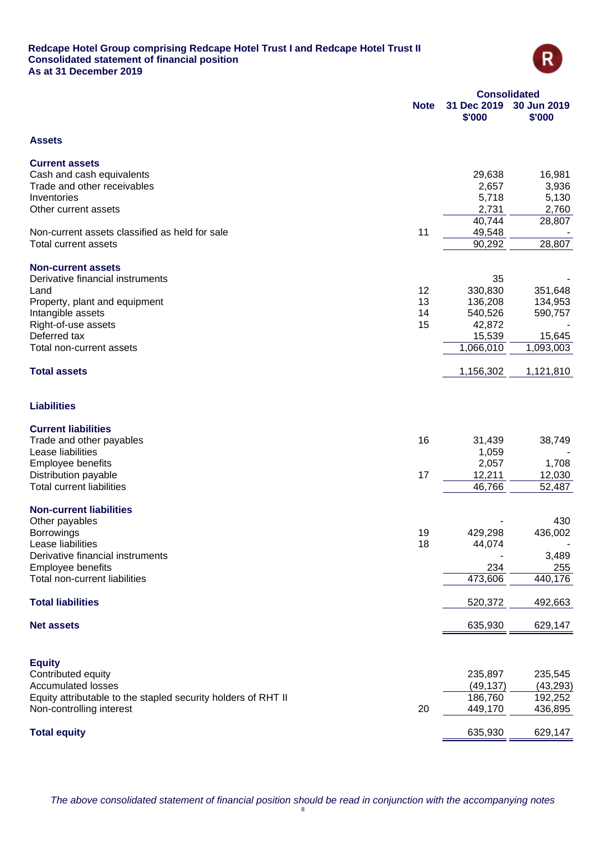### **Redcape Hotel Group comprising Redcape Hotel Trust I and Redcape Hotel Trust II Consolidated statement of financial position As at 31 December 2019**



|                                                               | <b>Consolidated</b> |                       |                       |
|---------------------------------------------------------------|---------------------|-----------------------|-----------------------|
|                                                               | <b>Note</b>         | 31 Dec 2019<br>\$'000 | 30 Jun 2019<br>\$'000 |
| <b>Assets</b>                                                 |                     |                       |                       |
| <b>Current assets</b>                                         |                     |                       |                       |
| Cash and cash equivalents                                     |                     | 29,638                | 16,981                |
| Trade and other receivables                                   |                     | 2,657                 | 3,936                 |
| Inventories                                                   |                     | 5,718                 | 5,130                 |
| Other current assets                                          |                     | 2,731                 | 2,760                 |
|                                                               |                     | 40,744                | 28,807                |
| Non-current assets classified as held for sale                | 11                  | 49,548                |                       |
| <b>Total current assets</b>                                   |                     | 90,292                | 28,807                |
| <b>Non-current assets</b>                                     |                     |                       |                       |
| Derivative financial instruments                              |                     | 35                    |                       |
| Land                                                          | 12                  | 330,830               | 351,648               |
| Property, plant and equipment                                 | 13                  | 136,208               | 134,953               |
| Intangible assets                                             | 14                  | 540,526               | 590,757               |
| Right-of-use assets                                           | 15                  | 42,872                |                       |
| Deferred tax                                                  |                     | 15,539                | 15,645                |
| Total non-current assets                                      |                     | 1,066,010             | 1,093,003             |
| <b>Total assets</b>                                           |                     | 1,156,302             | 1,121,810             |
| <b>Liabilities</b>                                            |                     |                       |                       |
| <b>Current liabilities</b>                                    |                     |                       |                       |
| Trade and other payables                                      | 16                  | 31,439                | 38,749                |
| Lease liabilities                                             |                     | 1,059                 |                       |
| Employee benefits                                             |                     | 2,057                 | 1,708                 |
| Distribution payable                                          | 17                  | 12,211                | 12,030                |
| <b>Total current liabilities</b>                              |                     | 46,766                | 52,487                |
| <b>Non-current liabilities</b>                                |                     |                       |                       |
| Other payables                                                |                     |                       | 430                   |
| <b>Borrowings</b>                                             | 19                  | 429,298               | 436,002               |
| Lease liabilities                                             | 18                  | 44,074                |                       |
| Derivative financial instruments                              |                     |                       | 3,489                 |
| Employee benefits                                             |                     | 234                   | 255                   |
| Total non-current liabilities                                 |                     | 473,606               | 440,176               |
| <b>Total liabilities</b>                                      |                     | 520,372               | 492,663               |
| <b>Net assets</b>                                             |                     | 635,930               | 629,147               |
|                                                               |                     |                       |                       |
| <b>Equity</b>                                                 |                     |                       |                       |
| Contributed equity                                            |                     | 235,897               | 235,545               |
| <b>Accumulated losses</b>                                     |                     | (49, 137)             | (43, 293)             |
| Equity attributable to the stapled security holders of RHT II |                     | 186,760               | 192,252               |
| Non-controlling interest                                      | 20                  | 449,170               | 436,895               |
| <b>Total equity</b>                                           |                     | 635,930               | 629,147               |
|                                                               |                     |                       |                       |

*The above consolidated statement of financial position should be read in conjunction with the accompanying notes*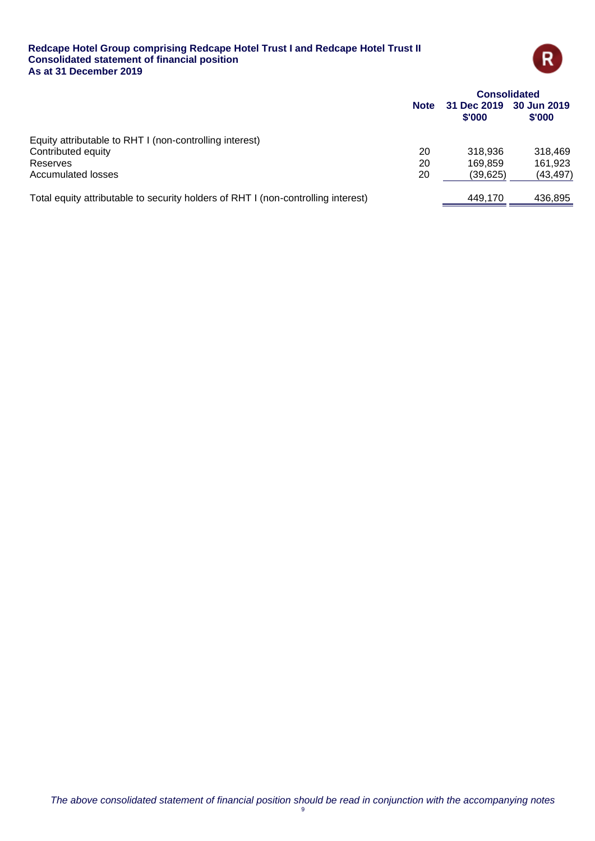### **Redcape Hotel Group comprising Redcape Hotel Trust I and Redcape Hotel Trust II Consolidated statement of financial position As at 31 December 2019**



|                                                                                   | <b>Consolidated</b> |                       |                             |
|-----------------------------------------------------------------------------------|---------------------|-----------------------|-----------------------------|
|                                                                                   | <b>Note</b>         | 31 Dec 2019<br>\$'000 | 30 Jun 2019<br><b>S'000</b> |
| Equity attributable to RHT I (non-controlling interest)                           |                     |                       |                             |
| Contributed equity                                                                | 20                  | 318.936               | 318,469                     |
| Reserves                                                                          | 20                  | 169.859               | 161,923                     |
| Accumulated losses                                                                | 20                  | (39,625)              | (43, 497)                   |
| Total equity attributable to security holders of RHT I (non-controlling interest) |                     | 449.170               | 436,895                     |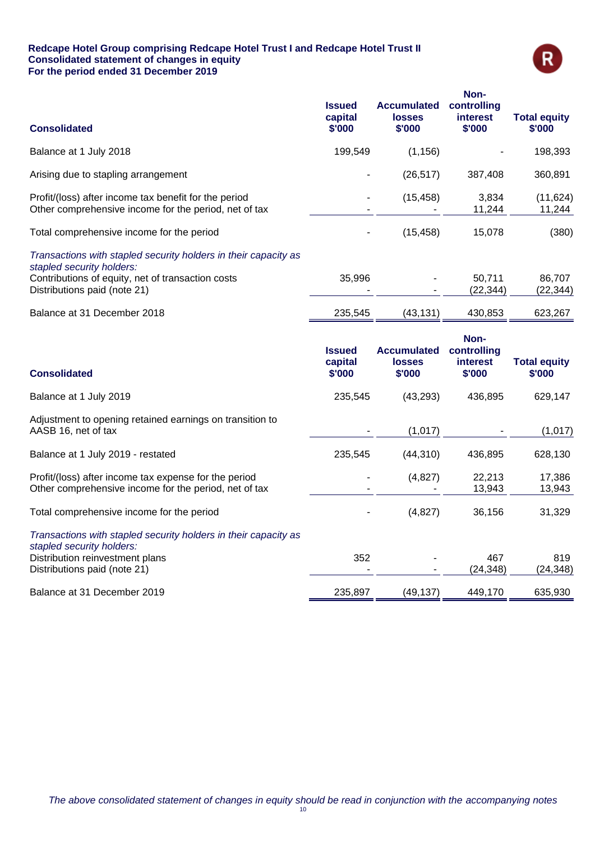### **Redcape Hotel Group comprising Redcape Hotel Trust I and Redcape Hotel Trust II Consolidated statement of changes in equity For the period ended 31 December 2019**



| <b>Consolidated</b>                                                                                            | <b>Issued</b><br>capital<br>\$'000 | <b>Accumulated</b><br><b>losses</b><br>\$'000 | Non-<br>controlling<br><b>interest</b><br>\$'000 | <b>Total equity</b><br>\$'000 |
|----------------------------------------------------------------------------------------------------------------|------------------------------------|-----------------------------------------------|--------------------------------------------------|-------------------------------|
| Balance at 1 July 2018                                                                                         | 199,549                            | (1, 156)                                      |                                                  | 198,393                       |
| Arising due to stapling arrangement                                                                            |                                    | (26, 517)                                     | 387,408                                          | 360,891                       |
| Profit/(loss) after income tax benefit for the period<br>Other comprehensive income for the period, net of tax |                                    | (15, 458)                                     | 3,834<br>11,244                                  | (11, 624)<br>11,244           |
| Total comprehensive income for the period                                                                      |                                    | (15, 458)                                     | 15,078                                           | (380)                         |
| Transactions with stapled security holders in their capacity as<br>stapled security holders:                   |                                    |                                               |                                                  |                               |
| Contributions of equity, net of transaction costs<br>Distributions paid (note 21)                              | 35,996                             |                                               | 50,711<br>(22, 344)                              | 86,707<br>(22, 344)           |
| Balance at 31 December 2018                                                                                    | 235,545                            | (43, 131)                                     | 430,853                                          | 623,267                       |
| <b>Consolidated</b>                                                                                            | <b>Issued</b><br>capital<br>\$'000 | <b>Accumulated</b><br><b>losses</b><br>\$'000 | Non-<br>controlling<br><b>interest</b><br>\$'000 | <b>Total equity</b><br>\$'000 |
| Balance at 1 July 2019                                                                                         | 235,545                            | (43, 293)                                     | 436,895                                          | 629,147                       |
| Adjustment to opening retained earnings on transition to<br>AASB 16, net of tax                                |                                    | (1,017)                                       |                                                  | (1,017)                       |
| Balance at 1 July 2019 - restated                                                                              | 235,545                            | (44, 310)                                     | 436,895                                          | 628,130                       |
| Profit/(loss) after income tax expense for the period<br>Other comprehensive income for the period, net of tax |                                    | (4, 827)                                      | 22,213<br>13,943                                 | 17,386<br>13,943              |
| Total comprehensive income for the period                                                                      |                                    | (4,827)                                       | 36,156                                           | 31,329                        |
| Transactions with stapled security holders in their capacity as<br>stapled security holders:                   |                                    |                                               |                                                  |                               |
| Distribution reinvestment plans<br>Distributions paid (note 21)                                                | 352                                |                                               | 467<br>(24, 348)                                 | 819<br>(24, 348)              |
| Balance at 31 December 2019                                                                                    | 235,897                            | (49, 137)                                     | 449,170                                          | 635,930                       |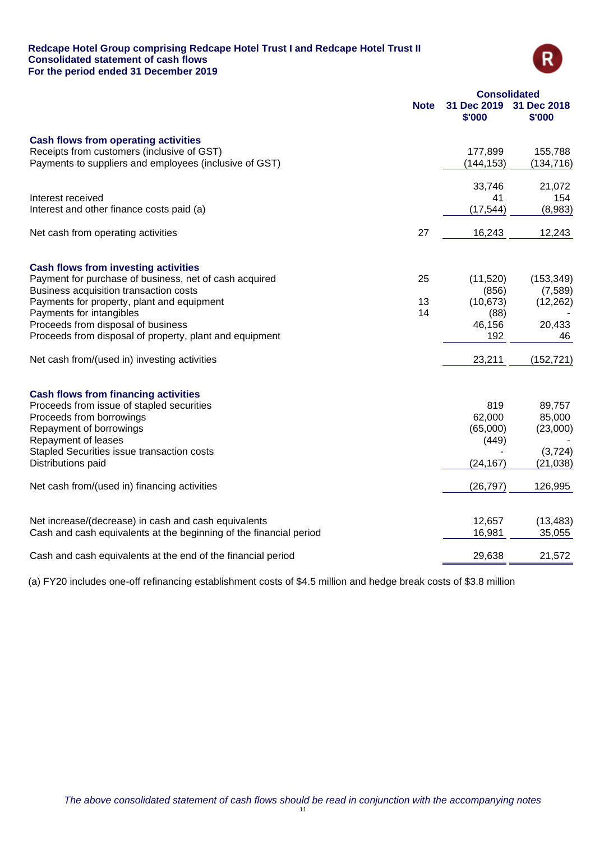### **Redcape Hotel Group comprising Redcape Hotel Trust I and Redcape Hotel Trust II Consolidated statement of cash flows For the period ended 31 December 2019**



|                                                                                                                            | <b>Consolidated</b> |                       |                       |  |
|----------------------------------------------------------------------------------------------------------------------------|---------------------|-----------------------|-----------------------|--|
|                                                                                                                            | <b>Note</b>         | 31 Dec 2019<br>\$'000 | 31 Dec 2018<br>\$'000 |  |
| <b>Cash flows from operating activities</b>                                                                                |                     |                       |                       |  |
| Receipts from customers (inclusive of GST)                                                                                 |                     | 177,899               | 155,788               |  |
| Payments to suppliers and employees (inclusive of GST)                                                                     |                     | (144, 153)            | (134, 716)            |  |
|                                                                                                                            |                     | 33,746                | 21,072                |  |
| Interest received                                                                                                          |                     | 41                    | 154                   |  |
| Interest and other finance costs paid (a)                                                                                  |                     | (17, 544)             | (8,983)               |  |
| Net cash from operating activities                                                                                         | 27                  | 16,243                | 12,243                |  |
| <b>Cash flows from investing activities</b>                                                                                |                     |                       |                       |  |
| Payment for purchase of business, net of cash acquired                                                                     | 25                  | (11,520)              | (153, 349)            |  |
| Business acquisition transaction costs                                                                                     |                     | (856)                 | (7,589)               |  |
| Payments for property, plant and equipment                                                                                 | 13                  | (10, 673)             | (12, 262)             |  |
| Payments for intangibles                                                                                                   | 14                  | (88)                  |                       |  |
| Proceeds from disposal of business                                                                                         |                     | 46,156                | 20,433                |  |
| Proceeds from disposal of property, plant and equipment                                                                    |                     | 192                   | 46                    |  |
| Net cash from/(used in) investing activities                                                                               |                     | 23,211                | (152, 721)            |  |
| <b>Cash flows from financing activities</b>                                                                                |                     |                       |                       |  |
| Proceeds from issue of stapled securities                                                                                  |                     | 819                   | 89,757                |  |
| Proceeds from borrowings                                                                                                   |                     | 62,000                | 85,000                |  |
| Repayment of borrowings                                                                                                    |                     | (65,000)              | (23,000)              |  |
| Repayment of leases                                                                                                        |                     | (449)                 |                       |  |
| Stapled Securities issue transaction costs                                                                                 |                     |                       | (3,724)               |  |
| Distributions paid                                                                                                         |                     | (24, 167)             | (21, 038)             |  |
| Net cash from/(used in) financing activities                                                                               |                     | (26, 797)             | 126,995               |  |
|                                                                                                                            |                     |                       |                       |  |
| Net increase/(decrease) in cash and cash equivalents<br>Cash and cash equivalents at the beginning of the financial period |                     | 12,657<br>16,981      | (13, 483)<br>35,055   |  |
|                                                                                                                            |                     |                       |                       |  |
| Cash and cash equivalents at the end of the financial period                                                               |                     | 29,638                | 21,572                |  |

(a) FY20 includes one-off refinancing establishment costs of \$4.5 million and hedge break costs of \$3.8 million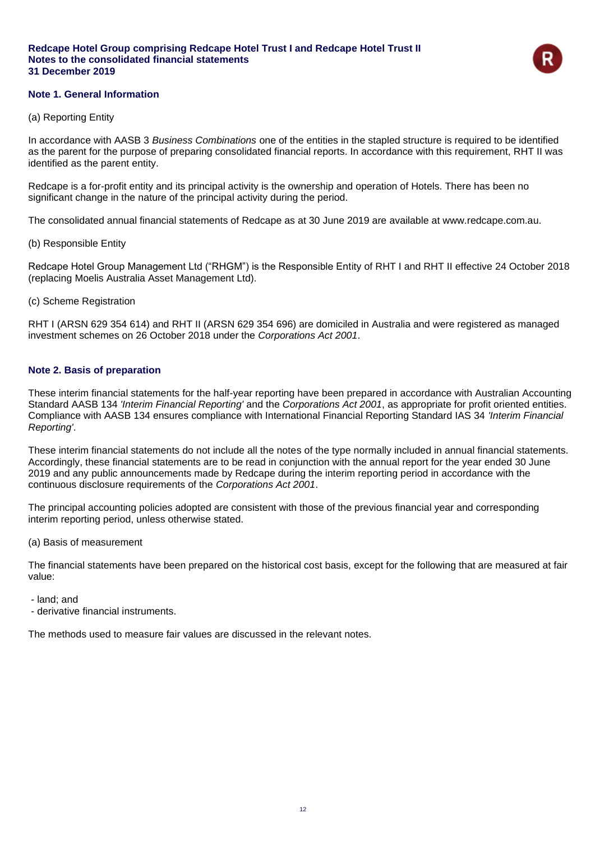

### **Note 1. General Information**

### (a) Reporting Entity

In accordance with AASB 3 *Business Combinations* one of the entities in the stapled structure is required to be identified as the parent for the purpose of preparing consolidated financial reports. In accordance with this requirement, RHT II was identified as the parent entity.

Redcape is a for-profit entity and its principal activity is the ownership and operation of Hotels. There has been no significant change in the nature of the principal activity during the period.

The consolidated annual financial statements of Redcape as at 30 June 2019 are available at www.redcape.com.au.

(b) Responsible Entity

Redcape Hotel Group Management Ltd ("RHGM") is the Responsible Entity of RHT I and RHT II effective 24 October 2018 (replacing Moelis Australia Asset Management Ltd).

(c) Scheme Registration

RHT I (ARSN 629 354 614) and RHT II (ARSN 629 354 696) are domiciled in Australia and were registered as managed investment schemes on 26 October 2018 under the *Corporations Act 2001*.

### **Note 2. Basis of preparation**

These interim financial statements for the half-year reporting have been prepared in accordance with Australian Accounting Standard AASB 134 *'Interim Financial Reporting'* and the *Corporations Act 2001*, as appropriate for profit oriented entities. Compliance with AASB 134 ensures compliance with International Financial Reporting Standard IAS 34 *'Interim Financial Reporting'*.

These interim financial statements do not include all the notes of the type normally included in annual financial statements. Accordingly, these financial statements are to be read in conjunction with the annual report for the year ended 30 June 2019 and any public announcements made by Redcape during the interim reporting period in accordance with the continuous disclosure requirements of the *Corporations Act 2001*.

The principal accounting policies adopted are consistent with those of the previous financial year and corresponding interim reporting period, unless otherwise stated.

(a) Basis of measurement

The financial statements have been prepared on the historical cost basis, except for the following that are measured at fair value:

- land; and
- derivative financial instruments.

The methods used to measure fair values are discussed in the relevant notes.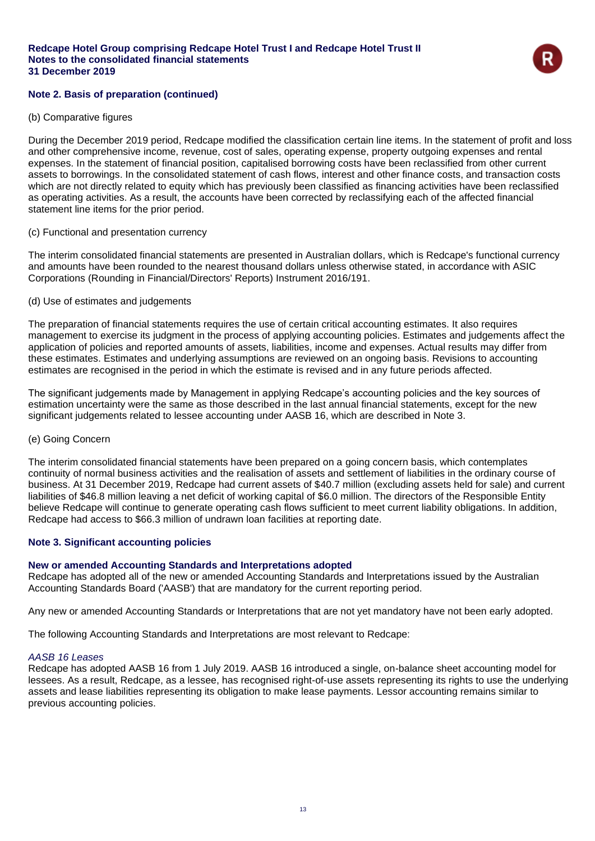

### **Note 2. Basis of preparation (continued)**

### (b) Comparative figures

During the December 2019 period, Redcape modified the classification certain line items. In the statement of profit and loss and other comprehensive income, revenue, cost of sales, operating expense, property outgoing expenses and rental expenses. In the statement of financial position, capitalised borrowing costs have been reclassified from other current assets to borrowings. In the consolidated statement of cash flows, interest and other finance costs, and transaction costs which are not directly related to equity which has previously been classified as financing activities have been reclassified as operating activities. As a result, the accounts have been corrected by reclassifying each of the affected financial statement line items for the prior period.

### (c) Functional and presentation currency

The interim consolidated financial statements are presented in Australian dollars, which is Redcape's functional currency and amounts have been rounded to the nearest thousand dollars unless otherwise stated, in accordance with ASIC Corporations (Rounding in Financial/Directors' Reports) Instrument 2016/191.

### (d) Use of estimates and judgements

The preparation of financial statements requires the use of certain critical accounting estimates. It also requires management to exercise its judgment in the process of applying accounting policies. Estimates and judgements affect the application of policies and reported amounts of assets, liabilities, income and expenses. Actual results may differ from these estimates. Estimates and underlying assumptions are reviewed on an ongoing basis. Revisions to accounting estimates are recognised in the period in which the estimate is revised and in any future periods affected.

The significant judgements made by Management in applying Redcape's accounting policies and the key sources of estimation uncertainty were the same as those described in the last annual financial statements, except for the new significant judgements related to lessee accounting under AASB 16, which are described in Note 3.

### (e) Going Concern

The interim consolidated financial statements have been prepared on a going concern basis, which contemplates continuity of normal business activities and the realisation of assets and settlement of liabilities in the ordinary course of business. At 31 December 2019, Redcape had current assets of \$40.7 million (excluding assets held for sale) and current liabilities of \$46.8 million leaving a net deficit of working capital of \$6.0 million. The directors of the Responsible Entity believe Redcape will continue to generate operating cash flows sufficient to meet current liability obligations. In addition, Redcape had access to \$66.3 million of undrawn loan facilities at reporting date.

### **Note 3. Significant accounting policies**

### **New or amended Accounting Standards and Interpretations adopted**

Redcape has adopted all of the new or amended Accounting Standards and Interpretations issued by the Australian Accounting Standards Board ('AASB') that are mandatory for the current reporting period.

Any new or amended Accounting Standards or Interpretations that are not yet mandatory have not been early adopted.

The following Accounting Standards and Interpretations are most relevant to Redcape:

### *AASB 16 Leases*

Redcape has adopted AASB 16 from 1 July 2019. AASB 16 introduced a single, on-balance sheet accounting model for lessees. As a result, Redcape, as a lessee, has recognised right-of-use assets representing its rights to use the underlying assets and lease liabilities representing its obligation to make lease payments. Lessor accounting remains similar to previous accounting policies.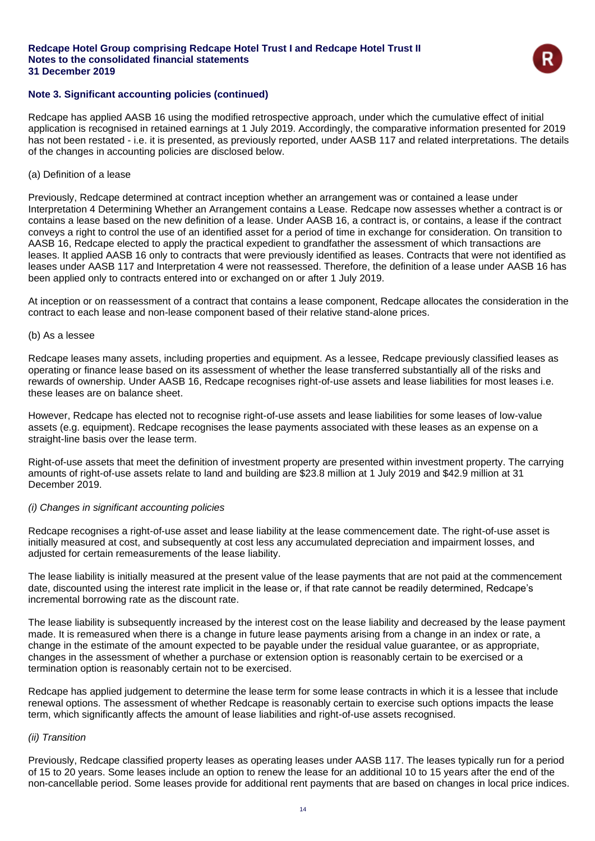

### **Note 3. Significant accounting policies (continued)**

Redcape has applied AASB 16 using the modified retrospective approach, under which the cumulative effect of initial application is recognised in retained earnings at 1 July 2019. Accordingly, the comparative information presented for 2019 has not been restated - i.e. it is presented, as previously reported, under AASB 117 and related interpretations. The details of the changes in accounting policies are disclosed below.

#### (a) Definition of a lease

Previously, Redcape determined at contract inception whether an arrangement was or contained a lease under Interpretation 4 Determining Whether an Arrangement contains a Lease. Redcape now assesses whether a contract is or contains a lease based on the new definition of a lease. Under AASB 16, a contract is, or contains, a lease if the contract conveys a right to control the use of an identified asset for a period of time in exchange for consideration. On transition to AASB 16, Redcape elected to apply the practical expedient to grandfather the assessment of which transactions are leases. It applied AASB 16 only to contracts that were previously identified as leases. Contracts that were not identified as leases under AASB 117 and Interpretation 4 were not reassessed. Therefore, the definition of a lease under AASB 16 has been applied only to contracts entered into or exchanged on or after 1 July 2019.

At inception or on reassessment of a contract that contains a lease component, Redcape allocates the consideration in the contract to each lease and non-lease component based of their relative stand-alone prices.

#### (b) As a lessee

Redcape leases many assets, including properties and equipment. As a lessee, Redcape previously classified leases as operating or finance lease based on its assessment of whether the lease transferred substantially all of the risks and rewards of ownership. Under AASB 16, Redcape recognises right-of-use assets and lease liabilities for most leases i.e. these leases are on balance sheet.

However, Redcape has elected not to recognise right-of-use assets and lease liabilities for some leases of low-value assets (e.g. equipment). Redcape recognises the lease payments associated with these leases as an expense on a straight-line basis over the lease term.

Right-of-use assets that meet the definition of investment property are presented within investment property. The carrying amounts of right-of-use assets relate to land and building are \$23.8 million at 1 July 2019 and \$42.9 million at 31 December 2019.

### *(i) Changes in significant accounting policies*

Redcape recognises a right-of-use asset and lease liability at the lease commencement date. The right-of-use asset is initially measured at cost, and subsequently at cost less any accumulated depreciation and impairment losses, and adjusted for certain remeasurements of the lease liability.

The lease liability is initially measured at the present value of the lease payments that are not paid at the commencement date, discounted using the interest rate implicit in the lease or, if that rate cannot be readily determined, Redcape's incremental borrowing rate as the discount rate.

The lease liability is subsequently increased by the interest cost on the lease liability and decreased by the lease payment made. It is remeasured when there is a change in future lease payments arising from a change in an index or rate, a change in the estimate of the amount expected to be payable under the residual value guarantee, or as appropriate, changes in the assessment of whether a purchase or extension option is reasonably certain to be exercised or a termination option is reasonably certain not to be exercised.

Redcape has applied judgement to determine the lease term for some lease contracts in which it is a lessee that include renewal options. The assessment of whether Redcape is reasonably certain to exercise such options impacts the lease term, which significantly affects the amount of lease liabilities and right-of-use assets recognised.

### *(ii) Transition*

Previously, Redcape classified property leases as operating leases under AASB 117. The leases typically run for a period of 15 to 20 years. Some leases include an option to renew the lease for an additional 10 to 15 years after the end of the non-cancellable period. Some leases provide for additional rent payments that are based on changes in local price indices.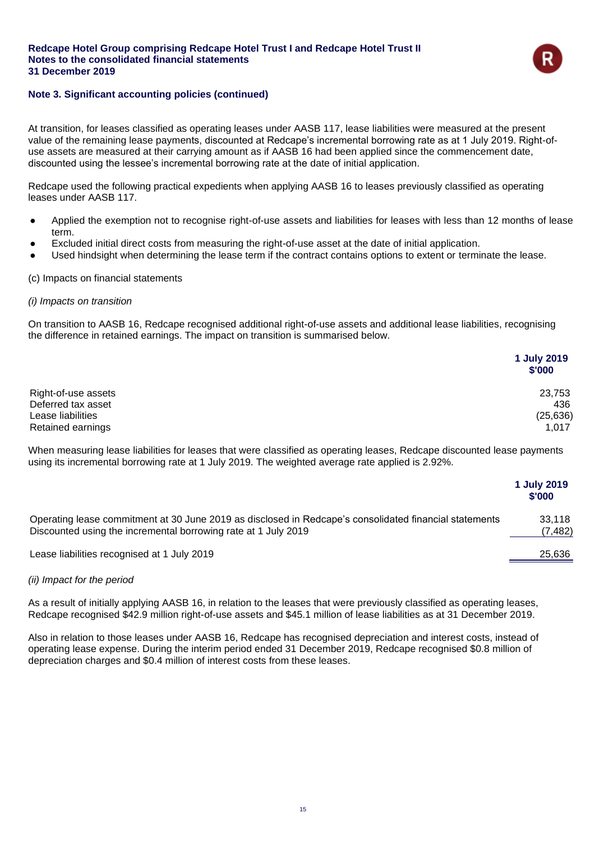

### **Note 3. Significant accounting policies (continued)**

At transition, for leases classified as operating leases under AASB 117, lease liabilities were measured at the present value of the remaining lease payments, discounted at Redcape's incremental borrowing rate as at 1 July 2019. Right-ofuse assets are measured at their carrying amount as if AASB 16 had been applied since the commencement date, discounted using the lessee's incremental borrowing rate at the date of initial application.

Redcape used the following practical expedients when applying AASB 16 to leases previously classified as operating leases under AASB 117.

- Applied the exemption not to recognise right-of-use assets and liabilities for leases with less than 12 months of lease term.
- Excluded initial direct costs from measuring the right-of-use asset at the date of initial application.
- Used hindsight when determining the lease term if the contract contains options to extent or terminate the lease.

### (c) Impacts on financial statements

### *(i) Impacts on transition*

On transition to AASB 16, Redcape recognised additional right-of-use assets and additional lease liabilities, recognising the difference in retained earnings. The impact on transition is summarised below.

|                     | 1 July 2019<br>\$'000 |
|---------------------|-----------------------|
| Right-of-use assets | 23,753                |
| Deferred tax asset  | 436                   |
| Lease liabilities   | (25, 636)             |
| Retained earnings   | 1,017                 |

When measuring lease liabilities for leases that were classified as operating leases, Redcape discounted lease payments using its incremental borrowing rate at 1 July 2019. The weighted average rate applied is 2.92%.

|                                                                                                                                                                          | 1 July 2019<br>\$'000 |
|--------------------------------------------------------------------------------------------------------------------------------------------------------------------------|-----------------------|
| Operating lease commitment at 30 June 2019 as disclosed in Redcape's consolidated financial statements<br>Discounted using the incremental borrowing rate at 1 July 2019 | 33.118<br>(7,482)     |
| Lease liabilities recognised at 1 July 2019                                                                                                                              | 25,636                |

### *(ii) Impact for the period*

As a result of initially applying AASB 16, in relation to the leases that were previously classified as operating leases, Redcape recognised \$42.9 million right-of-use assets and \$45.1 million of lease liabilities as at 31 December 2019.

Also in relation to those leases under AASB 16, Redcape has recognised depreciation and interest costs, instead of operating lease expense. During the interim period ended 31 December 2019, Redcape recognised \$0.8 million of depreciation charges and \$0.4 million of interest costs from these leases.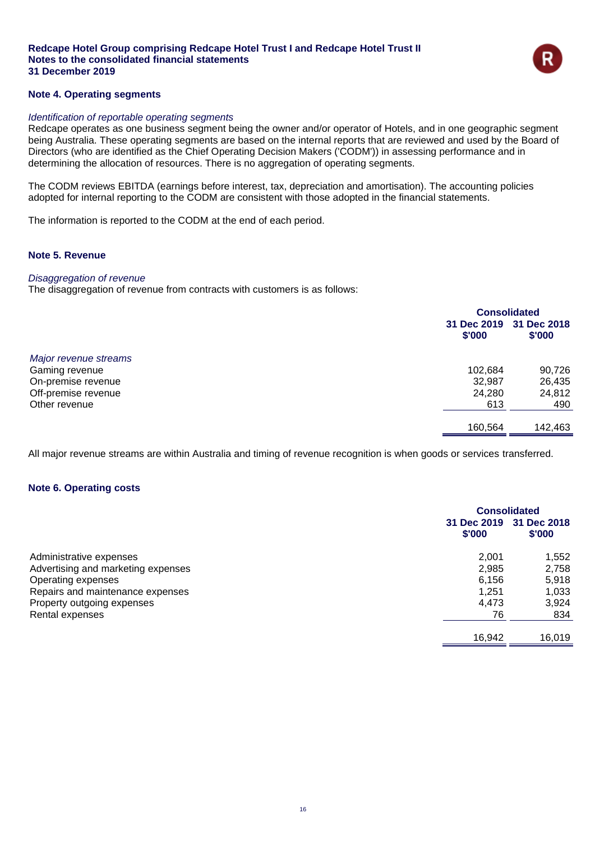

### **Note 4. Operating segments**

#### *Identification of reportable operating segments*

Redcape operates as one business segment being the owner and/or operator of Hotels, and in one geographic segment being Australia. These operating segments are based on the internal reports that are reviewed and used by the Board of Directors (who are identified as the Chief Operating Decision Makers ('CODM')) in assessing performance and in determining the allocation of resources. There is no aggregation of operating segments.

The CODM reviews EBITDA (earnings before interest, tax, depreciation and amortisation). The accounting policies adopted for internal reporting to the CODM are consistent with those adopted in the financial statements.

The information is reported to the CODM at the end of each period.

#### **Note 5. Revenue**

### *Disaggregation of revenue*

The disaggregation of revenue from contracts with customers is as follows:

|                       | <b>Consolidated</b>   |                       |
|-----------------------|-----------------------|-----------------------|
|                       | 31 Dec 2019<br>\$'000 | 31 Dec 2018<br>\$'000 |
| Major revenue streams |                       |                       |
| Gaming revenue        | 102,684               | 90,726                |
| On-premise revenue    | 32,987                | 26,435                |
| Off-premise revenue   | 24,280                | 24,812                |
| Other revenue         | 613                   | 490                   |
|                       | 160,564               | 142,463               |

All major revenue streams are within Australia and timing of revenue recognition is when goods or services transferred.

#### **Note 6. Operating costs**

|                                    |                       | <b>Consolidated</b>   |  |
|------------------------------------|-----------------------|-----------------------|--|
|                                    | 31 Dec 2019<br>\$'000 | 31 Dec 2018<br>\$'000 |  |
| Administrative expenses            | 2.001                 | 1,552                 |  |
| Advertising and marketing expenses | 2,985                 | 2,758                 |  |
| Operating expenses                 | 6.156                 | 5,918                 |  |
| Repairs and maintenance expenses   | 1.251                 | 1,033                 |  |
| Property outgoing expenses         | 4.473                 | 3,924                 |  |
| Rental expenses                    | 76                    | 834                   |  |
|                                    | 16,942                | 16,019                |  |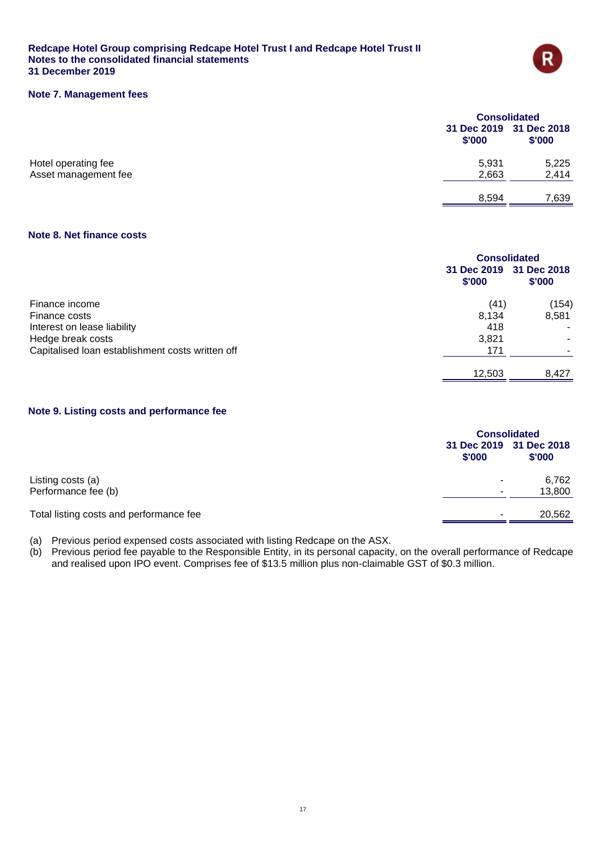

### **Note 7. Management fees**

|                      | <b>Consolidated</b> |                                   |
|----------------------|---------------------|-----------------------------------|
|                      | \$'000              | 31 Dec 2019 31 Dec 2018<br>\$'000 |
| Hotel operating fee  | 5,931               | 5,225                             |
| Asset management fee | 2,663               | 2,414                             |
|                      | 8,594               | 7,639                             |

### **Note 8. Net finance costs**

|                                                  | <b>Consolidated</b>   |                       |
|--------------------------------------------------|-----------------------|-----------------------|
|                                                  | 31 Dec 2019<br>\$'000 | 31 Dec 2018<br>\$'000 |
| Finance income                                   | (41)                  | (154)                 |
| Finance costs                                    | 8.134                 | 8,581                 |
| Interest on lease liability                      | 418                   |                       |
| Hedge break costs                                | 3,821                 |                       |
| Capitalised loan establishment costs written off | 171                   |                       |
|                                                  | 12.503                | 8.427                 |

### **Note 9. Listing costs and performance fee**

|                                         | <b>Consolidated</b>      |                                   |
|-----------------------------------------|--------------------------|-----------------------------------|
|                                         | \$'000                   | 31 Dec 2019 31 Dec 2018<br>\$'000 |
| Listing costs (a)                       |                          | 6,762                             |
| Performance fee (b)                     | $\overline{\phantom{a}}$ | 13,800                            |
| Total listing costs and performance fee |                          | 20,562                            |

(a) Previous period expensed costs associated with listing Redcape on the ASX.

(b) Previous period fee payable to the Responsible Entity, in its personal capacity, on the overall performance of Redcape and realised upon IPO event. Comprises fee of \$13.5 million plus non-claimable GST of \$0.3 million.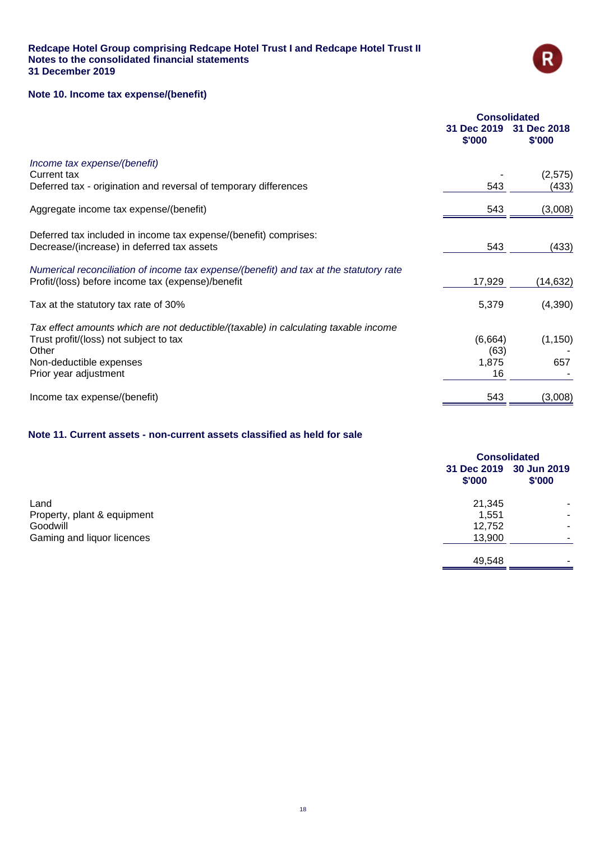

### **Note 10. Income tax expense/(benefit)**

|                                                                                                                                                                                            | <b>Consolidated</b>            |                       |
|--------------------------------------------------------------------------------------------------------------------------------------------------------------------------------------------|--------------------------------|-----------------------|
|                                                                                                                                                                                            | 31 Dec 2019<br>\$'000          | 31 Dec 2018<br>\$'000 |
| Income tax expense/(benefit)<br>Current tax                                                                                                                                                |                                | (2,575)               |
| Deferred tax - origination and reversal of temporary differences                                                                                                                           | 543                            | (433)                 |
| Aggregate income tax expense/(benefit)                                                                                                                                                     | 543                            | (3,008)               |
| Deferred tax included in income tax expense/(benefit) comprises:<br>Decrease/(increase) in deferred tax assets                                                                             | 543                            | (433)                 |
| Numerical reconciliation of income tax expense/(benefit) and tax at the statutory rate<br>Profit/(loss) before income tax (expense)/benefit                                                | 17,929                         | (14,632)              |
| Tax at the statutory tax rate of 30%                                                                                                                                                       | 5,379                          | (4,390)               |
| Tax effect amounts which are not deductible/(taxable) in calculating taxable income<br>Trust profit/(loss) not subject to tax<br>Other<br>Non-deductible expenses<br>Prior year adjustment | (6,664)<br>(63)<br>1,875<br>16 | (1, 150)<br>657       |
| Income tax expense/(benefit)                                                                                                                                                               | 543                            | (3,008)               |

### **Note 11. Current assets - non-current assets classified as held for sale**

|                             |        | <b>Consolidated</b>               |  |
|-----------------------------|--------|-----------------------------------|--|
|                             | \$'000 | 31 Dec 2019 30 Jun 2019<br>\$'000 |  |
| Land                        | 21,345 | ۰                                 |  |
| Property, plant & equipment | 1,551  | ۰                                 |  |
| Goodwill                    | 12,752 | ۰                                 |  |
| Gaming and liquor licences  | 13,900 | ۰                                 |  |
|                             | 49,548 | ۰                                 |  |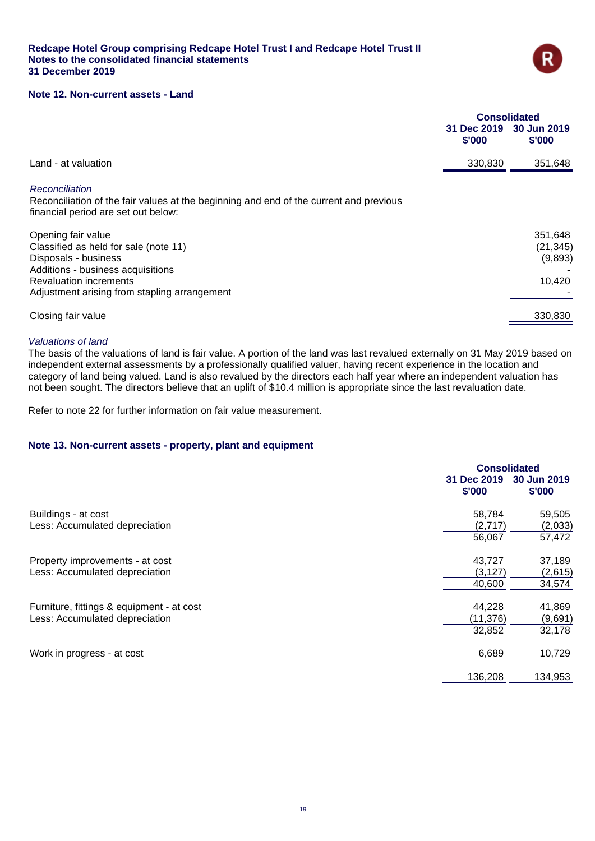

### **Note 12. Non-current assets - Land**

|                                                                                                                                                                                                           | <b>Consolidated</b> |                                           |
|-----------------------------------------------------------------------------------------------------------------------------------------------------------------------------------------------------------|---------------------|-------------------------------------------|
|                                                                                                                                                                                                           | \$'000              | 31 Dec 2019 30 Jun 2019<br>\$'000         |
| Land - at valuation                                                                                                                                                                                       | 330,830             | 351,648                                   |
| Reconciliation<br>Reconciliation of the fair values at the beginning and end of the current and previous<br>financial period are set out below:                                                           |                     |                                           |
| Opening fair value<br>Classified as held for sale (note 11)<br>Disposals - business<br>Additions - business acquisitions<br><b>Revaluation increments</b><br>Adjustment arising from stapling arrangement |                     | 351,648<br>(21, 345)<br>(9,893)<br>10,420 |
| Closing fair value                                                                                                                                                                                        |                     | 330,830                                   |

#### *Valuations of land*

The basis of the valuations of land is fair value. A portion of the land was last revalued externally on 31 May 2019 based on independent external assessments by a professionally qualified valuer, having recent experience in the location and category of land being valued. Land is also revalued by the directors each half year where an independent valuation has not been sought. The directors believe that an uplift of \$10.4 million is appropriate since the last revaluation date.

Refer to note 22 for further information on fair value measurement.

### **Note 13. Non-current assets - property, plant and equipment**

|                                           |                       | <b>Consolidated</b>   |  |
|-------------------------------------------|-----------------------|-----------------------|--|
|                                           | 31 Dec 2019<br>\$'000 | 30 Jun 2019<br>\$'000 |  |
| Buildings - at cost                       | 58,784                | 59,505                |  |
| Less: Accumulated depreciation            | (2,717)               | (2,033)               |  |
|                                           | 56,067                | 57,472                |  |
| Property improvements - at cost           | 43,727                | 37,189                |  |
| Less: Accumulated depreciation            | (3, 127)              | (2,615)               |  |
|                                           | 40,600                | 34,574                |  |
| Furniture, fittings & equipment - at cost | 44,228                | 41,869                |  |
| Less: Accumulated depreciation            | (11, 376)             | (9,691)               |  |
|                                           | 32,852                | 32,178                |  |
| Work in progress - at cost                | 6,689                 | 10,729                |  |
|                                           | 136,208               | 134,953               |  |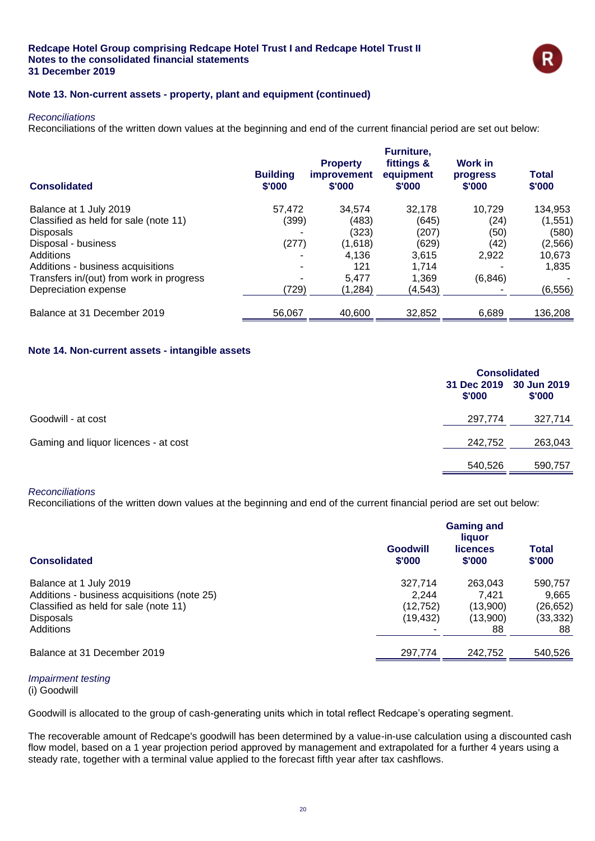

### **Note 13. Non-current assets - property, plant and equipment (continued)**

#### *Reconciliations*

Reconciliations of the written down values at the beginning and end of the current financial period are set out below:

| <b>Consolidated</b>                      | <b>Building</b><br>\$'000 | <b>Property</b><br><i>improvement</i><br>\$'000 | Furniture,<br>fittings &<br>equipment<br>\$'000 | <b>Work in</b><br>progress<br>\$'000 | <b>Total</b><br>\$'000 |
|------------------------------------------|---------------------------|-------------------------------------------------|-------------------------------------------------|--------------------------------------|------------------------|
| Balance at 1 July 2019                   | 57.472                    | 34.574                                          | 32.178                                          | 10.729                               | 134,953                |
| Classified as held for sale (note 11)    | (399)                     | (483)                                           | (645)                                           | (24)                                 | (1,551)                |
| <b>Disposals</b>                         |                           | (323)                                           | (207)                                           | (50)                                 | (580)                  |
| Disposal - business                      | (277)                     | (1,618)                                         | (629)                                           | (42)                                 | (2, 566)               |
| Additions                                |                           | 4,136                                           | 3,615                                           | 2,922                                | 10,673                 |
| Additions - business acquisitions        |                           | 121                                             | 1.714                                           |                                      | 1,835                  |
| Transfers in/(out) from work in progress |                           | 5.477                                           | 1.369                                           | (6, 846)                             |                        |
| Depreciation expense                     | (729)                     | (1,284)                                         | (4, 543)                                        |                                      | (6, 556)               |
| Balance at 31 December 2019              | 56,067                    | 40,600                                          | 32,852                                          | 6,689                                | 136,208                |

### **Note 14. Non-current assets - intangible assets**

|                                      | <b>Consolidated</b> |                                   |
|--------------------------------------|---------------------|-----------------------------------|
|                                      | \$'000              | 31 Dec 2019 30 Jun 2019<br>\$'000 |
| Goodwill - at cost                   | 297,774             | 327,714                           |
| Gaming and liquor licences - at cost | 242,752             | 263,043                           |
|                                      | 540,526             | 590,757                           |

#### *Reconciliations*

Reconciliations of the written down values at the beginning and end of the current financial period are set out below:

|                                                                                                                                                 | <b>Gaming and</b><br>liquor                |                                                |                                                |
|-------------------------------------------------------------------------------------------------------------------------------------------------|--------------------------------------------|------------------------------------------------|------------------------------------------------|
| <b>Consolidated</b>                                                                                                                             | <b>Goodwill</b><br>\$'000                  | <b>licences</b><br>\$'000                      | Total<br>\$'000                                |
| Balance at 1 July 2019<br>Additions - business acquisitions (note 25)<br>Classified as held for sale (note 11)<br><b>Disposals</b><br>Additions | 327,714<br>2.244<br>(12, 752)<br>(19, 432) | 263.043<br>7.421<br>(13,900)<br>(13,900)<br>88 | 590,757<br>9.665<br>(26,652)<br>(33,332)<br>88 |
| Balance at 31 December 2019                                                                                                                     | 297.774                                    | 242.752                                        | 540,526                                        |

#### *Impairment testing*

(i) Goodwill

Goodwill is allocated to the group of cash-generating units which in total reflect Redcape's operating segment.

The recoverable amount of Redcape's goodwill has been determined by a value-in-use calculation using a discounted cash flow model, based on a 1 year projection period approved by management and extrapolated for a further 4 years using a steady rate, together with a terminal value applied to the forecast fifth year after tax cashflows.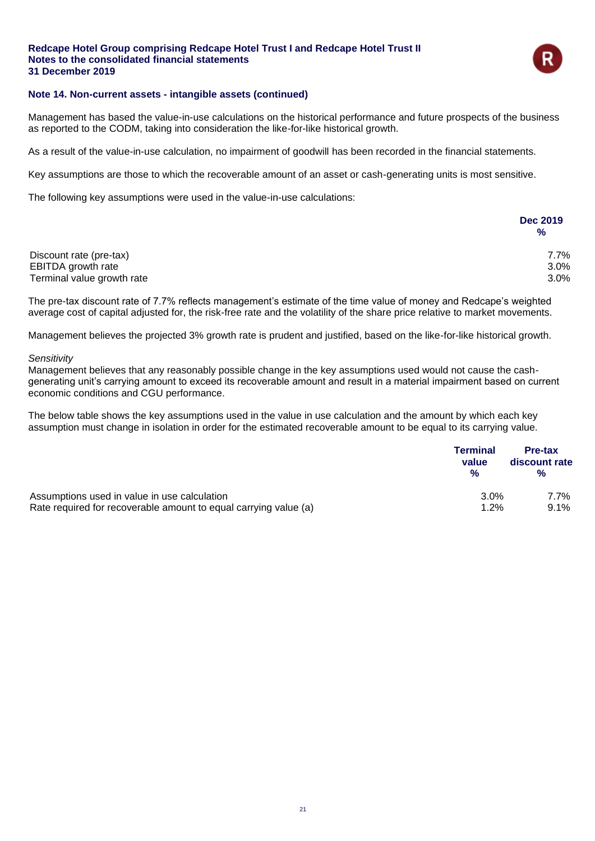

### **Note 14. Non-current assets - intangible assets (continued)**

Management has based the value-in-use calculations on the historical performance and future prospects of the business as reported to the CODM, taking into consideration the like-for-like historical growth.

As a result of the value-in-use calculation, no impairment of goodwill has been recorded in the financial statements.

Key assumptions are those to which the recoverable amount of an asset or cash-generating units is most sensitive.

The following key assumptions were used in the value-in-use calculations:

|                            | <b>Dec 2019</b><br>% |
|----------------------------|----------------------|
| Discount rate (pre-tax)    | 7.7%                 |
| EBITDA growth rate         | 3.0%                 |
| Terminal value growth rate | 3.0%                 |

The pre-tax discount rate of 7.7% reflects management's estimate of the time value of money and Redcape's weighted average cost of capital adjusted for, the risk-free rate and the volatility of the share price relative to market movements.

Management believes the projected 3% growth rate is prudent and justified, based on the like-for-like historical growth.

#### *Sensitivity*

Management believes that any reasonably possible change in the key assumptions used would not cause the cashgenerating unit's carrying amount to exceed its recoverable amount and result in a material impairment based on current economic conditions and CGU performance.

The below table shows the key assumptions used in the value in use calculation and the amount by which each key assumption must change in isolation in order for the estimated recoverable amount to be equal to its carrying value.

|                                                                  | <b>Terminal</b><br>value<br>$\frac{9}{6}$ | Pre-tax<br>discount rate<br>$\frac{9}{6}$ |
|------------------------------------------------------------------|-------------------------------------------|-------------------------------------------|
| Assumptions used in value in use calculation                     | 3.0%                                      | 7.7%                                      |
| Rate required for recoverable amount to equal carrying value (a) | 1.2%                                      | $9.1\%$                                   |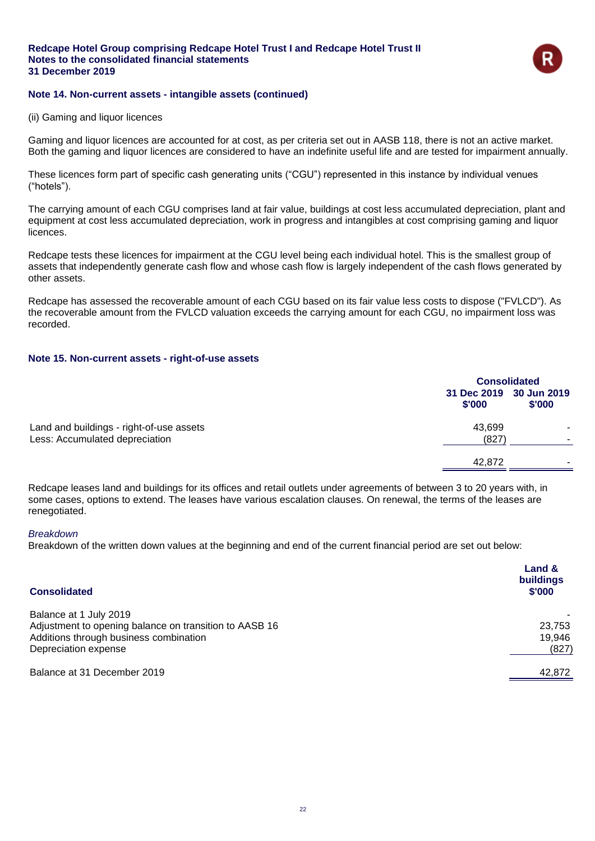

### **Note 14. Non-current assets - intangible assets (continued)**

(ii) Gaming and liquor licences

Gaming and liquor licences are accounted for at cost, as per criteria set out in AASB 118, there is not an active market. Both the gaming and liquor licences are considered to have an indefinite useful life and are tested for impairment annually.

These licences form part of specific cash generating units ("CGU") represented in this instance by individual venues ("hotels").

The carrying amount of each CGU comprises land at fair value, buildings at cost less accumulated depreciation, plant and equipment at cost less accumulated depreciation, work in progress and intangibles at cost comprising gaming and liquor licences.

Redcape tests these licences for impairment at the CGU level being each individual hotel. This is the smallest group of assets that independently generate cash flow and whose cash flow is largely independent of the cash flows generated by other assets.

Redcape has assessed the recoverable amount of each CGU based on its fair value less costs to dispose ("FVLCD"). As the recoverable amount from the FVLCD valuation exceeds the carrying amount for each CGU, no impairment loss was recorded.

### **Note 15. Non-current assets - right-of-use assets**

|                                          |                                   | <b>Consolidated</b> |  |
|------------------------------------------|-----------------------------------|---------------------|--|
|                                          | 31 Dec 2019 30 Jun 2019<br>\$'000 | \$'000              |  |
| Land and buildings - right-of-use assets | 43,699                            |                     |  |
| Less: Accumulated depreciation           | (827)                             |                     |  |
|                                          | 42,872                            |                     |  |
|                                          |                                   |                     |  |

Redcape leases land and buildings for its offices and retail outlets under agreements of between 3 to 20 years with, in some cases, options to extend. The leases have various escalation clauses. On renewal, the terms of the leases are renegotiated.

#### *Breakdown*

Breakdown of the written down values at the beginning and end of the current financial period are set out below:

| <b>Consolidated</b>                                    | Land &<br>buildings<br>\$'000 |
|--------------------------------------------------------|-------------------------------|
| Balance at 1 July 2019                                 |                               |
| Adjustment to opening balance on transition to AASB 16 | 23,753                        |
| Additions through business combination                 | 19,946                        |
| Depreciation expense                                   | (827)                         |
| Balance at 31 December 2019                            | 42,872                        |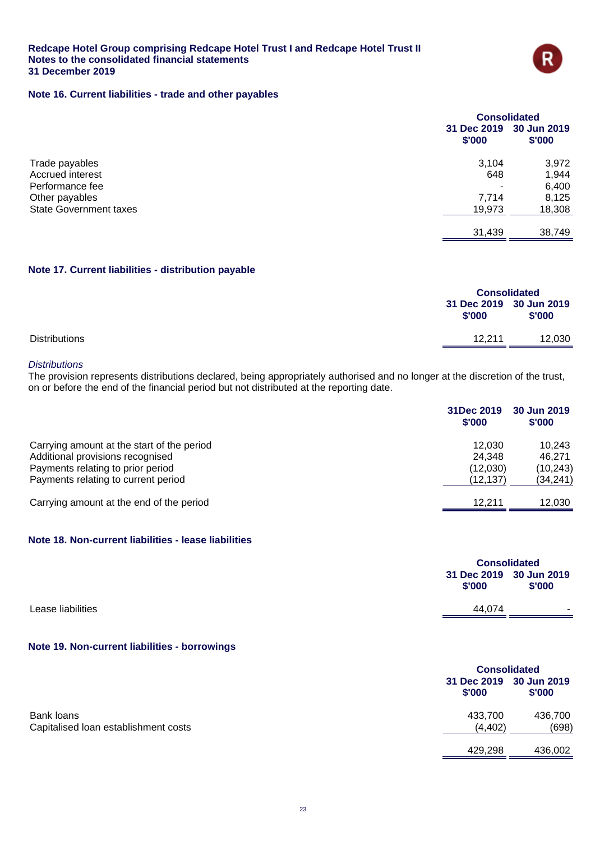

### **Note 16. Current liabilities - trade and other payables**

|                               | <b>Consolidated</b> |                                   |
|-------------------------------|---------------------|-----------------------------------|
|                               | \$'000              | 31 Dec 2019 30 Jun 2019<br>\$'000 |
| Trade payables                | 3,104               | 3,972                             |
| Accrued interest              | 648                 | 1,944                             |
| Performance fee               |                     | 6,400                             |
| Other payables                | 7,714               | 8,125                             |
| <b>State Government taxes</b> | 19,973              | 18,308                            |
|                               | 31,439              | 38,749                            |

### **Note 17. Current liabilities - distribution payable**

|                      | <b>Consolidated</b> |                                   |
|----------------------|---------------------|-----------------------------------|
|                      | \$'000              | 31 Dec 2019 30 Jun 2019<br>\$'000 |
| <b>Distributions</b> | 12.211              | 12,030                            |

#### *Distributions*

The provision represents distributions declared, being appropriately authorised and no longer at the discretion of the trust, on or before the end of the financial period but not distributed at the reporting date.

|                                            | 31Dec 2019<br>\$'000 | 30 Jun 2019<br>\$'000 |
|--------------------------------------------|----------------------|-----------------------|
| Carrying amount at the start of the period | 12.030               | 10.243                |
| Additional provisions recognised           | 24.348               | 46.271                |
| Payments relating to prior period          | (12,030)             | (10, 243)             |
| Payments relating to current period        | (12,137)             | (34, 241)             |
| Carrying amount at the end of the period   | 12.211               | 12,030                |

### **Note 18. Non-current liabilities - lease liabilities**

|                   |                                   | <b>Consolidated</b>      |  |
|-------------------|-----------------------------------|--------------------------|--|
|                   | 31 Dec 2019 30 Jun 2019<br>\$'000 | \$'000                   |  |
| Lease liabilities | 44.074                            | $\overline{\phantom{a}}$ |  |

### **Note 19. Non-current liabilities - borrowings**

|                                      |          | <b>Consolidated</b>               |  |
|--------------------------------------|----------|-----------------------------------|--|
|                                      | \$'000   | 31 Dec 2019 30 Jun 2019<br>\$'000 |  |
| Bank loans                           | 433,700  | 436,700                           |  |
| Capitalised loan establishment costs | (4, 402) | (698)                             |  |
|                                      | 429.298  | 436.002                           |  |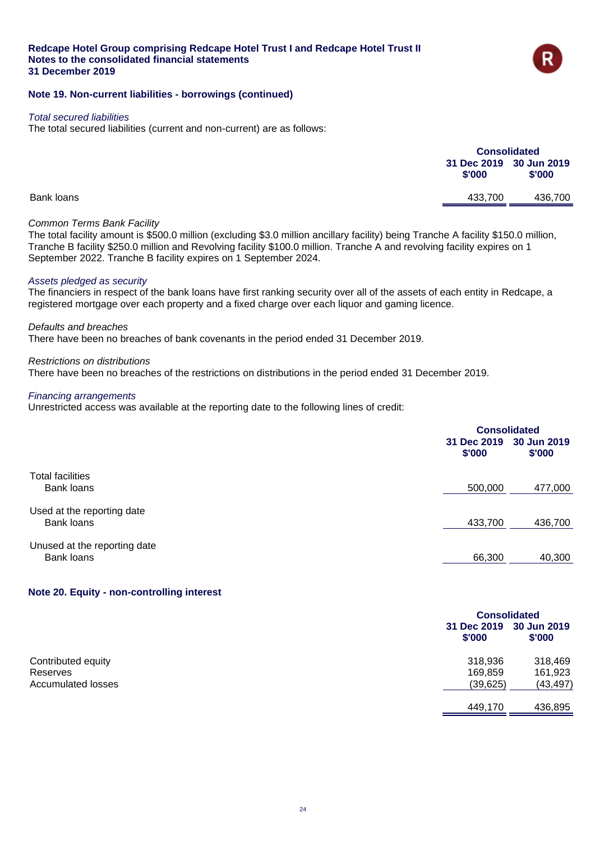

### **Note 19. Non-current liabilities - borrowings (continued)**

#### *Total secured liabilities*

The total secured liabilities (current and non-current) are as follows:

|            |                                   | <b>Consolidated</b> |  |
|------------|-----------------------------------|---------------------|--|
|            | 31 Dec 2019 30 Jun 2019<br>\$'000 | \$'000              |  |
| Bank loans | 433,700                           | 436,700             |  |
|            |                                   |                     |  |

### *Common Terms Bank Facility*

The total facility amount is \$500.0 million (excluding \$3.0 million ancillary facility) being Tranche A facility \$150.0 million, Tranche B facility \$250.0 million and Revolving facility \$100.0 million. Tranche A and revolving facility expires on 1 September 2022. Tranche B facility expires on 1 September 2024.

#### *Assets pledged as security*

The financiers in respect of the bank loans have first ranking security over all of the assets of each entity in Redcape, a registered mortgage over each property and a fixed charge over each liquor and gaming licence.

#### *Defaults and breaches*

There have been no breaches of bank covenants in the period ended 31 December 2019.

#### *Restrictions on distributions*

There have been no breaches of the restrictions on distributions in the period ended 31 December 2019.

### *Financing arrangements*

Unrestricted access was available at the reporting date to the following lines of credit:

|                                            | 31 Dec 2019<br>\$'000 | <b>Consolidated</b><br>30 Jun 2019<br>\$'000 |  |
|--------------------------------------------|-----------------------|----------------------------------------------|--|
| <b>Total facilities</b><br>Bank loans      | 500,000               | 477,000                                      |  |
| Used at the reporting date<br>Bank loans   | 433,700               | 436,700                                      |  |
| Unused at the reporting date<br>Bank loans | 66,300                | 40,300                                       |  |

### **Note 20. Equity - non-controlling interest**

|                           |                       | <b>Consolidated</b>   |  |
|---------------------------|-----------------------|-----------------------|--|
|                           | 31 Dec 2019<br>\$'000 | 30 Jun 2019<br>\$'000 |  |
| Contributed equity        | 318,936               | 318,469               |  |
| Reserves                  | 169,859               | 161,923               |  |
| <b>Accumulated losses</b> | (39, 625)             | (43, 497)             |  |
|                           | 449,170               | 436,895               |  |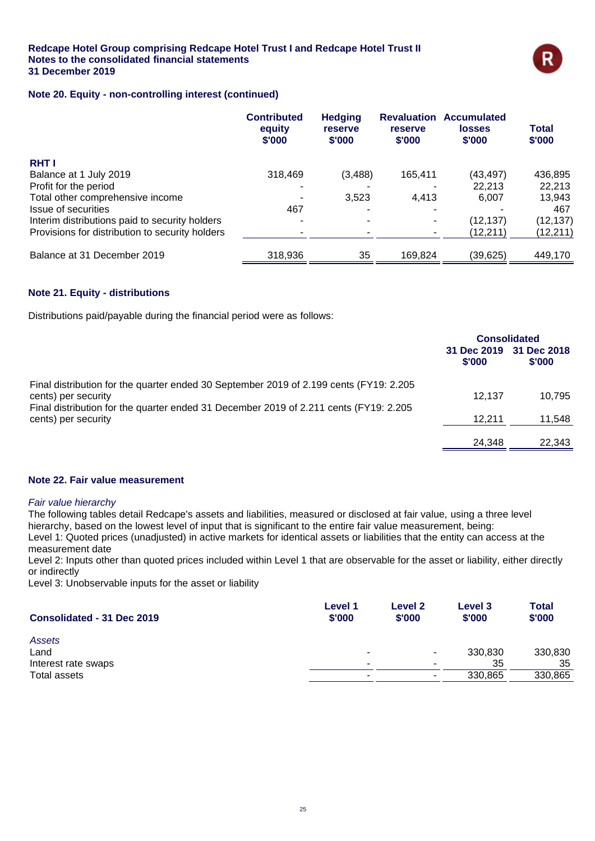

### **Note 20. Equity - non-controlling interest (continued)**

|                                                 | <b>Contributed</b><br>equity<br>\$'000 | <b>Hedging</b><br>reserve<br>\$'000 | <b>Revaluation</b><br>reserve<br>\$'000 | <b>Accumulated</b><br><b>losses</b><br>\$'000 | <b>Total</b><br>\$'000 |
|-------------------------------------------------|----------------------------------------|-------------------------------------|-----------------------------------------|-----------------------------------------------|------------------------|
| <b>RHTI</b>                                     |                                        |                                     |                                         |                                               |                        |
| Balance at 1 July 2019                          | 318,469                                | (3,488)                             | 165,411                                 | (43, 497)                                     | 436,895                |
| Profit for the period                           |                                        |                                     |                                         | 22.213                                        | 22,213                 |
| Total other comprehensive income                |                                        | 3,523                               | 4.413                                   | 6,007                                         | 13,943                 |
| Issue of securities                             | 467                                    |                                     |                                         |                                               | 467                    |
| Interim distributions paid to security holders  |                                        |                                     |                                         | (12, 137)                                     | (12, 137)              |
| Provisions for distribution to security holders |                                        |                                     |                                         | (12,211)                                      | (12, 211)              |
| Balance at 31 December 2019                     | 318,936                                | 35                                  | 169.824                                 | (39,625)                                      | 449,170                |

### **Note 21. Equity - distributions**

Distributions paid/payable during the financial period were as follows:

|                                                                                                               | <b>Consolidated</b>   |                       |
|---------------------------------------------------------------------------------------------------------------|-----------------------|-----------------------|
|                                                                                                               | 31 Dec 2019<br>\$'000 | 31 Dec 2018<br>\$'000 |
| Final distribution for the quarter ended 30 September 2019 of 2.199 cents (FY19: 2.205<br>cents) per security | 12.137                | 10.795                |
| Final distribution for the quarter ended 31 December 2019 of 2.211 cents (FY19: 2.205<br>cents) per security  | 12.211                | 11,548                |
|                                                                                                               | 24.348                | 22,343                |

#### **Note 22. Fair value measurement**

#### *Fair value hierarchy*

The following tables detail Redcape's assets and liabilities, measured or disclosed at fair value, using a three level hierarchy, based on the lowest level of input that is significant to the entire fair value measurement, being: Level 1: Quoted prices (unadjusted) in active markets for identical assets or liabilities that the entity can access at the measurement date

Level 2: Inputs other than quoted prices included within Level 1 that are observable for the asset or liability, either directly or indirectly

Level 3: Unobservable inputs for the asset or liability

| Consolidated - 31 Dec 2019 | Level 1<br>\$'000 | Level 2<br>\$'000 | Level 3<br>\$'000 | <b>Total</b><br>\$'000 |
|----------------------------|-------------------|-------------------|-------------------|------------------------|
| Assets                     |                   |                   |                   |                        |
| Land                       |                   | ۰                 | 330,830           | 330,830                |
| Interest rate swaps        |                   |                   | 35                | 35                     |
| Total assets               |                   |                   | 330.865           | 330,865                |
|                            |                   |                   |                   |                        |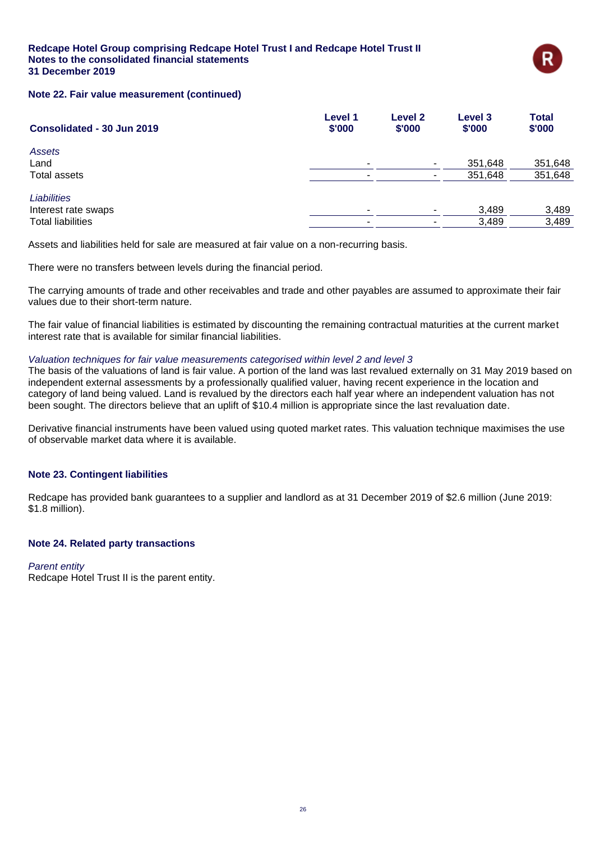

### **Note 22. Fair value measurement (continued)**

| Consolidated - 30 Jun 2019 | Level 1<br>\$'000        | Level 2<br>\$'000        | Level 3<br>\$'000 | <b>Total</b><br>\$'000 |
|----------------------------|--------------------------|--------------------------|-------------------|------------------------|
| Assets                     |                          |                          |                   |                        |
| Land                       | ۰                        | ٠.                       | 351,648           | 351,648                |
| <b>Total assets</b>        | $\overline{\phantom{a}}$ | $\overline{\phantom{a}}$ | 351,648           | 351,648                |
| <b>Liabilities</b>         |                          |                          |                   |                        |
| Interest rate swaps        | $\overline{\phantom{a}}$ | ۰.                       | 3,489             | 3,489                  |
| <b>Total liabilities</b>   | $\overline{\phantom{a}}$ |                          | 3,489             | 3,489                  |

Assets and liabilities held for sale are measured at fair value on a non-recurring basis.

There were no transfers between levels during the financial period.

The carrying amounts of trade and other receivables and trade and other payables are assumed to approximate their fair values due to their short-term nature.

The fair value of financial liabilities is estimated by discounting the remaining contractual maturities at the current market interest rate that is available for similar financial liabilities.

#### *Valuation techniques for fair value measurements categorised within level 2 and level 3*

The basis of the valuations of land is fair value. A portion of the land was last revalued externally on 31 May 2019 based on independent external assessments by a professionally qualified valuer, having recent experience in the location and category of land being valued. Land is revalued by the directors each half year where an independent valuation has not been sought. The directors believe that an uplift of \$10.4 million is appropriate since the last revaluation date.

Derivative financial instruments have been valued using quoted market rates. This valuation technique maximises the use of observable market data where it is available.

### **Note 23. Contingent liabilities**

Redcape has provided bank guarantees to a supplier and landlord as at 31 December 2019 of \$2.6 million (June 2019: \$1.8 million).

### **Note 24. Related party transactions**

### *Parent entity*

Redcape Hotel Trust II is the parent entity.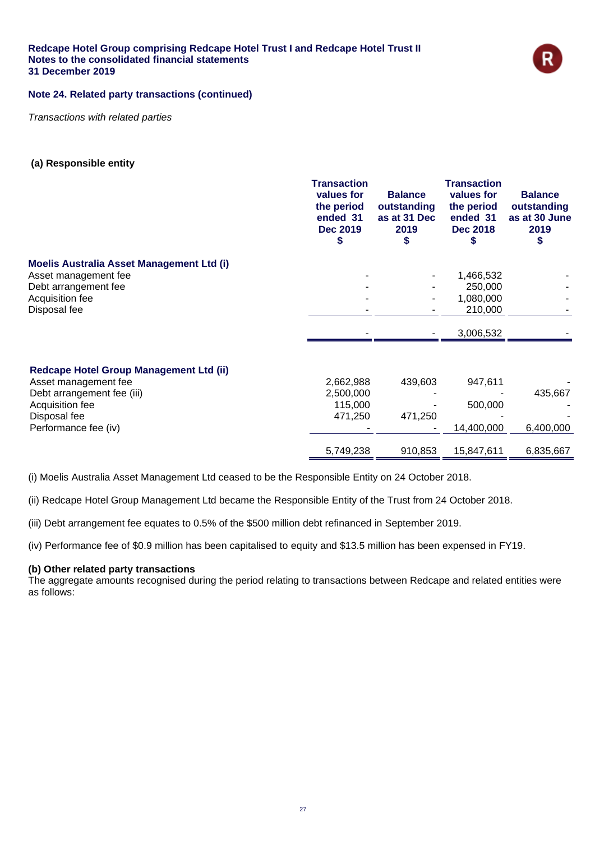

### **Note 24. Related party transactions (continued)**

*Transactions with related parties*

### **(a) Responsible entity**

|                                           | <b>Transaction</b><br>values for<br>the period<br>ended 31<br><b>Dec 2019</b> | <b>Balance</b><br>outstanding<br>as at 31 Dec<br>2019 | <b>Transaction</b><br>values for<br>the period<br>ended 31<br><b>Dec 2018</b> | <b>Balance</b><br>outstanding<br>as at 30 June<br>2019 |
|-------------------------------------------|-------------------------------------------------------------------------------|-------------------------------------------------------|-------------------------------------------------------------------------------|--------------------------------------------------------|
| Moelis Australia Asset Management Ltd (i) |                                                                               |                                                       |                                                                               |                                                        |
| Asset management fee                      |                                                                               |                                                       | 1,466,532                                                                     |                                                        |
| Debt arrangement fee                      |                                                                               |                                                       | 250,000                                                                       |                                                        |
| Acquisition fee                           |                                                                               |                                                       | 1,080,000                                                                     |                                                        |
| Disposal fee                              |                                                                               |                                                       | 210,000                                                                       |                                                        |
|                                           |                                                                               |                                                       | 3,006,532                                                                     |                                                        |
| Redcape Hotel Group Management Ltd (ii)   |                                                                               |                                                       |                                                                               |                                                        |
| Asset management fee                      | 2,662,988                                                                     | 439,603                                               | 947,611                                                                       |                                                        |
| Debt arrangement fee (iii)                | 2,500,000                                                                     |                                                       |                                                                               | 435,667                                                |
| Acquisition fee                           | 115,000                                                                       |                                                       | 500,000                                                                       |                                                        |
| Disposal fee                              | 471,250                                                                       | 471,250                                               |                                                                               |                                                        |
| Performance fee (iv)                      |                                                                               |                                                       | 14,400,000                                                                    | 6,400,000                                              |
|                                           | 5,749,238                                                                     | 910,853                                               | 15,847,611                                                                    | 6,835,667                                              |

(i) Moelis Australia Asset Management Ltd ceased to be the Responsible Entity on 24 October 2018.

(ii) Redcape Hotel Group Management Ltd became the Responsible Entity of the Trust from 24 October 2018.

(iii) Debt arrangement fee equates to 0.5% of the \$500 million debt refinanced in September 2019.

(iv) Performance fee of \$0.9 million has been capitalised to equity and \$13.5 million has been expensed in FY19.

### **(b) Other related party transactions**

The aggregate amounts recognised during the period relating to transactions between Redcape and related entities were as follows: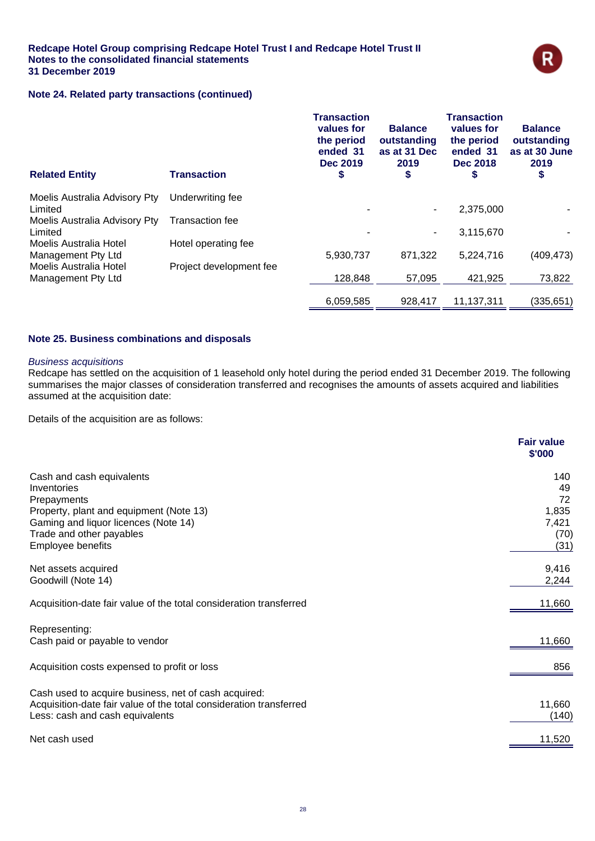

### **Note 24. Related party transactions (continued)**

| <b>Related Entity</b>                               | <b>Transaction</b>      | <b>Transaction</b><br>values for<br>the period<br>ended 31<br><b>Dec 2019</b><br>S | <b>Balance</b><br>outstanding<br>as at 31 Dec<br>2019<br>\$ | <b>Transaction</b><br>values for<br>the period<br>ended 31<br><b>Dec 2018</b><br>G | <b>Balance</b><br>outstanding<br>as at 30 June<br>2019<br>\$ |
|-----------------------------------------------------|-------------------------|------------------------------------------------------------------------------------|-------------------------------------------------------------|------------------------------------------------------------------------------------|--------------------------------------------------------------|
| Moelis Australia Advisory Pty<br>Limited            | Underwriting fee        | ٠                                                                                  | $\blacksquare$                                              | 2,375,000                                                                          |                                                              |
| Moelis Australia Advisory Pty<br>Limited            | <b>Transaction fee</b>  |                                                                                    | $\sim$                                                      | 3,115,670                                                                          |                                                              |
| <b>Moelis Australia Hotel</b>                       | Hotel operating fee     |                                                                                    |                                                             |                                                                                    |                                                              |
| Management Pty Ltd<br><b>Moelis Australia Hotel</b> | Project development fee | 5,930,737                                                                          | 871,322                                                     | 5,224,716                                                                          | (409, 473)                                                   |
| Management Pty Ltd                                  |                         | 128,848                                                                            | 57.095                                                      | 421.925                                                                            | 73,822                                                       |
|                                                     |                         | 6,059,585                                                                          | 928.417                                                     | 11,137,311                                                                         | (335, 651)                                                   |

### **Note 25. Business combinations and disposals**

#### *Business acquisitions*

Redcape has settled on the acquisition of 1 leasehold only hotel during the period ended 31 December 2019. The following summarises the major classes of consideration transferred and recognises the amounts of assets acquired and liabilities assumed at the acquisition date:

Details of the acquisition are as follows:

|                                                                    | <b>Fair value</b><br>\$'000 |
|--------------------------------------------------------------------|-----------------------------|
| Cash and cash equivalents                                          | 140                         |
| Inventories                                                        | 49                          |
| Prepayments                                                        | 72                          |
| Property, plant and equipment (Note 13)                            | 1,835                       |
| Gaming and liquor licences (Note 14)                               | 7,421                       |
| Trade and other payables                                           | (70)                        |
| <b>Employee benefits</b>                                           | (31)                        |
| Net assets acquired                                                | 9,416                       |
| Goodwill (Note 14)                                                 | 2,244                       |
| Acquisition-date fair value of the total consideration transferred | 11,660                      |
| Representing:                                                      |                             |
| Cash paid or payable to vendor                                     | 11,660                      |
| Acquisition costs expensed to profit or loss                       | 856                         |
| Cash used to acquire business, net of cash acquired:               |                             |
| Acquisition-date fair value of the total consideration transferred | 11,660                      |
| Less: cash and cash equivalents                                    | (140)                       |
| Net cash used                                                      | 11,520                      |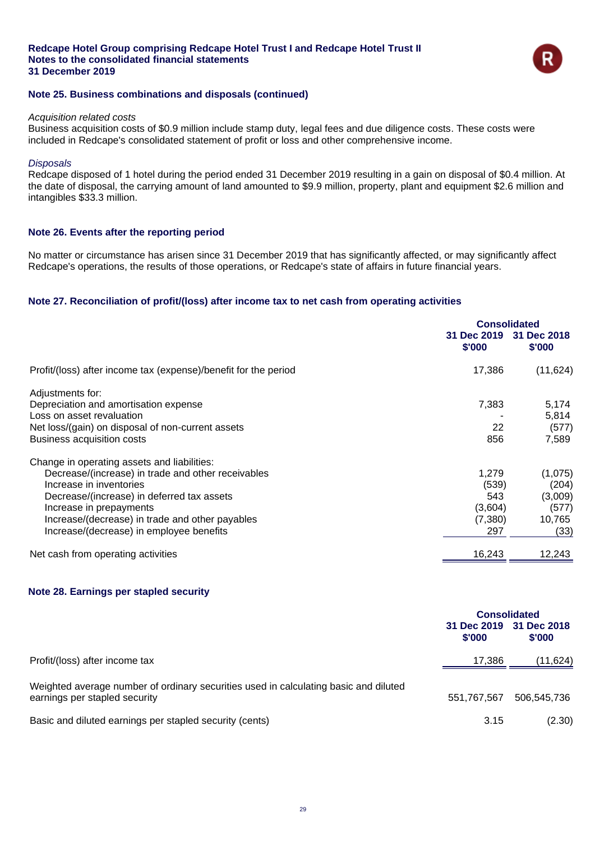

### **Note 25. Business combinations and disposals (continued)**

#### *Acquisition related costs*

Business acquisition costs of \$0.9 million include stamp duty, legal fees and due diligence costs. These costs were included in Redcape's consolidated statement of profit or loss and other comprehensive income.

#### *Disposals*

Redcape disposed of 1 hotel during the period ended 31 December 2019 resulting in a gain on disposal of \$0.4 million. At the date of disposal, the carrying amount of land amounted to \$9.9 million, property, plant and equipment \$2.6 million and intangibles \$33.3 million.

### **Note 26. Events after the reporting period**

No matter or circumstance has arisen since 31 December 2019 that has significantly affected, or may significantly affect Redcape's operations, the results of those operations, or Redcape's state of affairs in future financial years.

### **Note 27. Reconciliation of profit/(loss) after income tax to net cash from operating activities**

|                                                                 | <b>Consolidated</b> |                                   |
|-----------------------------------------------------------------|---------------------|-----------------------------------|
|                                                                 | \$'000              | 31 Dec 2019 31 Dec 2018<br>\$'000 |
| Profit/(loss) after income tax (expense)/benefit for the period | 17,386              | (11, 624)                         |
| Adjustments for:                                                |                     |                                   |
| Depreciation and amortisation expense                           | 7,383               | 5,174                             |
| Loss on asset revaluation                                       |                     | 5,814                             |
| Net loss/(gain) on disposal of non-current assets               | 22                  | (577)                             |
| Business acquisition costs                                      | 856                 | 7,589                             |
| Change in operating assets and liabilities:                     |                     |                                   |
| Decrease/(increase) in trade and other receivables              | 1,279               | (1,075)                           |
| Increase in inventories                                         | (539)               | (204)                             |
| Decrease/(increase) in deferred tax assets                      | 543                 | (3,009)                           |
| Increase in prepayments                                         | (3,604)             | (577)                             |
| Increase/(decrease) in trade and other payables                 | (7,380)             | 10,765                            |
| Increase/(decrease) in employee benefits                        | 297                 | (33)                              |
| Net cash from operating activities                              | 16,243              | 12,243                            |
|                                                                 |                     |                                   |

### **Note 28. Earnings per stapled security**

|                                                                                                                       | <b>Consolidated</b>   |                             |
|-----------------------------------------------------------------------------------------------------------------------|-----------------------|-----------------------------|
|                                                                                                                       | 31 Dec 2019<br>\$'000 | 31 Dec 2018<br><b>S'000</b> |
| Profit/(loss) after income tax                                                                                        | 17,386                | (11,624)                    |
| Weighted average number of ordinary securities used in calculating basic and diluted<br>earnings per stapled security | 551.767.567           | 506,545,736                 |
| Basic and diluted earnings per stapled security (cents)                                                               | 3.15                  | (2.30)                      |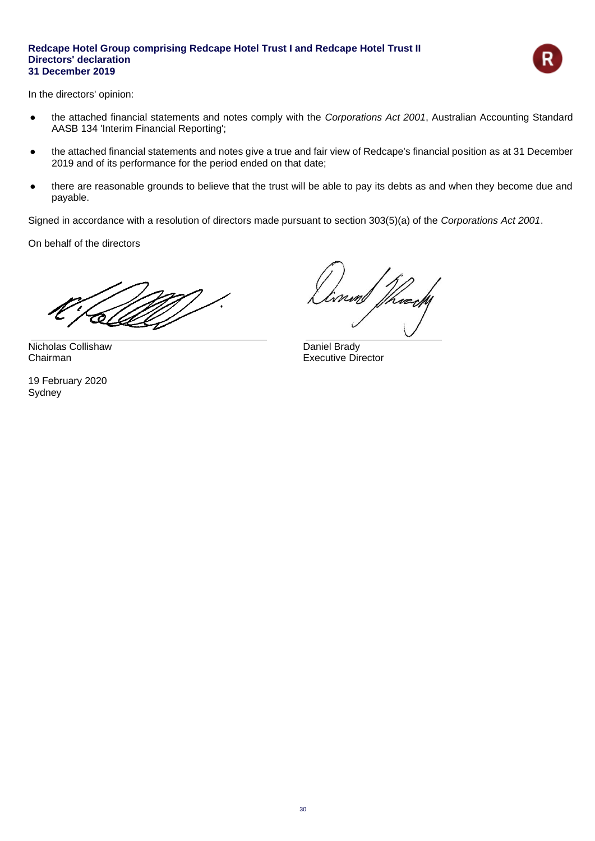

In the directors' opinion:

- the attached financial statements and notes comply with the *Corporations Act 2001*, Australian Accounting Standard AASB 134 'Interim Financial Reporting';
- the attached financial statements and notes give a true and fair view of Redcape's financial position as at 31 December 2019 and of its performance for the period ended on that date;
- there are reasonable grounds to believe that the trust will be able to pay its debts as and when they become due and payable.

Signed in accordance with a resolution of directors made pursuant to section 303(5)(a) of the *Corporations Act 2001*.

On behalf of the directors

Nicholas Collishaw Daniel Brady

19 February 2020 Sydney

Wrecht

**Chairman** Executive Director **Chairman**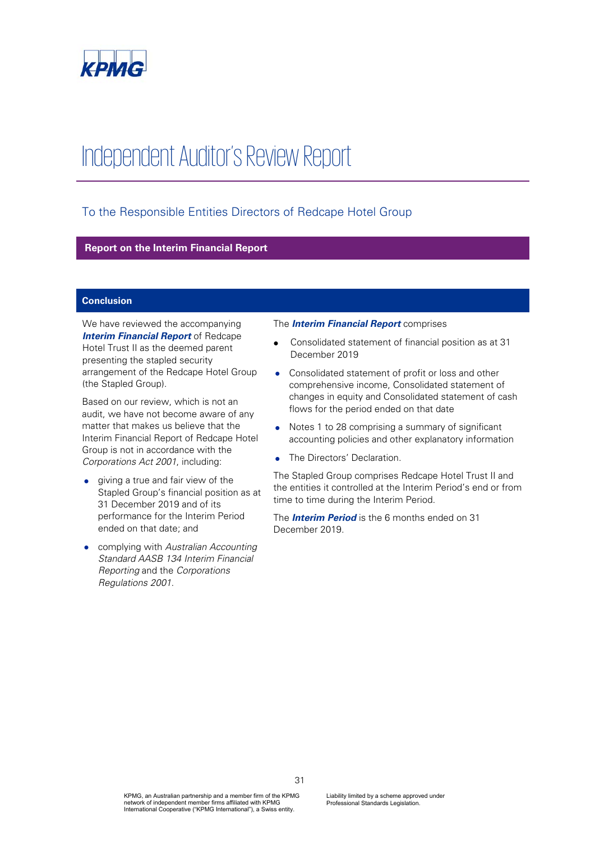

# Independent Auditor's Review Report

### To the Responsible Entities Directors of Redcape Hotel Group

### **Report on the Interim Financial Report**

### **Conclusion**

We have reviewed the accompanying *Interim Financial Report* of Redcape Hotel Trust II as the deemed parent presenting the stapled security arrangement of the Redcape Hotel Group (the Stapled Group).

Based on our review, which is not an audit, we have not become aware of any matter that makes us believe that the Interim Financial Report of Redcape Hotel Group is not in accordance with the *Corporations Act 2001*, including:

- giving a true and fair view of the Stapled Group's financial position as at 31 December 2019 and of its performance for the Interim Period ended on that date; and
- complying with *Australian Accounting Standard AASB 134 Interim Financial Reporting* and the *Corporations Regulations 2001*.

### The *Interim Financial Report* comprises

- Consolidated statement of financial position as at 31 December 2019
- Consolidated statement of profit or loss and other comprehensive income, Consolidated statement of changes in equity and Consolidated statement of cash flows for the period ended on that date
- Notes 1 to 28 comprising a summary of significant accounting policies and other explanatory information
- The Directors' Declaration.

The Stapled Group comprises Redcape Hotel Trust II and the entities it controlled at the Interim Period's end or from time to time during the Interim Period.

The *Interim Period* is the 6 months ended on 31 December 2019.